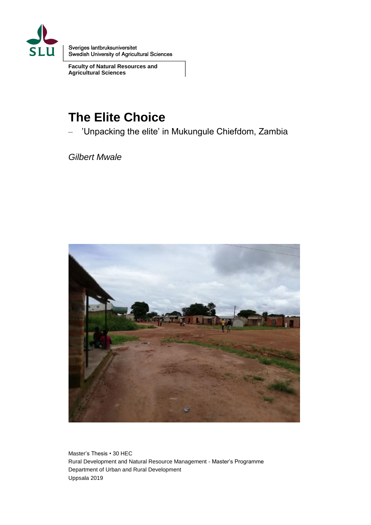

Sveriges lantbruksuniversitet<br>Swedish University of Agricultural Sciences

**Faculty of Natural Resources and Agricultural Sciences**

# **The Elite Choice**

– 'Unpacking the elite' in Mukungule Chiefdom, Zambia

*Gilbert Mwale*



Master's Thesis • 30 HEC Rural Development and Natural Resource Management - Master's Programme Department of Urban and Rural Development Uppsala 2019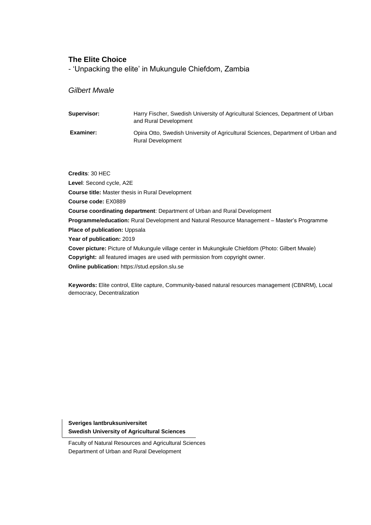#### **The Elite Choice**

- 'Unpacking the elite' in Mukungule Chiefdom, Zambia

#### *Gilbert Mwale*

| Supervisor: | Harry Fischer, Swedish University of Agricultural Sciences, Department of Urban<br>and Rural Development     |
|-------------|--------------------------------------------------------------------------------------------------------------|
| Examiner:   | Opira Otto, Swedish University of Agricultural Sciences, Department of Urban and<br><b>Rural Development</b> |

**Credits**: 30 HEC **Level**: Second cycle, A2E **Course title:** Master thesis in Rural Development **Course code:** EX0889 **Course coordinating department**: Department of Urban and Rural Development **Programme/education:** Rural Development and Natural Resource Management – Master's Programme **Place of publication:** Uppsala **Year of publication:** 2019 **Cover picture:** Picture of Mukungule village center in Mukungkule Chiefdom (Photo: Gilbert Mwale) **Copyright:** all featured images are used with permission from copyright owner. **Online publication:** https://stud.epsilon.slu.se

**Keywords:** Elite control, Elite capture, Community-based natural resources management (CBNRM), Local democracy, Decentralization

**Sveriges lantbruksuniversitet Swedish University of Agricultural Sciences**

Faculty of Natural Resources and Agricultural Sciences Department of Urban and Rural Development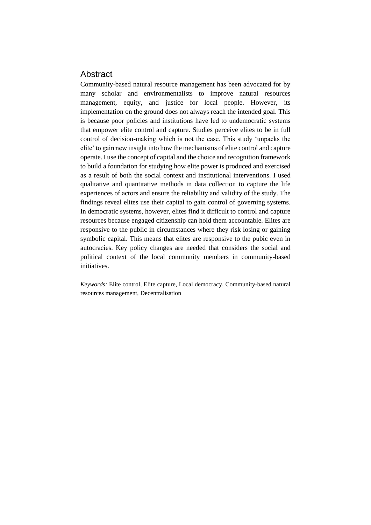## **Abstract**

Community-based natural resource management has been advocated for by many scholar and environmentalists to improve natural resources management, equity, and justice for local people. However, its implementation on the ground does not always reach the intended goal. This is because poor policies and institutions have led to undemocratic systems that empower elite control and capture. Studies perceive elites to be in full control of decision-making which is not the case. This study 'unpacks the elite' to gain new insight into how the mechanisms of elite control and capture operate. I use the concept of capital and the choice and recognition framework to build a foundation for studying how elite power is produced and exercised as a result of both the social context and institutional interventions. I used qualitative and quantitative methods in data collection to capture the life experiences of actors and ensure the reliability and validity of the study. The findings reveal elites use their capital to gain control of governing systems. In democratic systems, however, elites find it difficult to control and capture resources because engaged citizenship can hold them accountable. Elites are responsive to the public in circumstances where they risk losing or gaining symbolic capital. This means that elites are responsive to the pubic even in autocracies. Key policy changes are needed that considers the social and political context of the local community members in community-based initiatives.

*Keywords:* Elite control, Elite capture, Local democracy, Community-based natural resources management, Decentralisation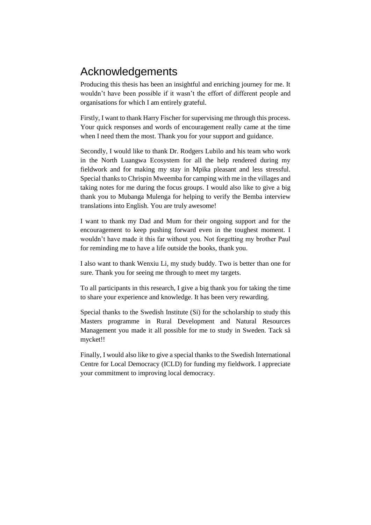# Acknowledgements

Producing this thesis has been an insightful and enriching journey for me. It wouldn't have been possible if it wasn't the effort of different people and organisations for which I am entirely grateful.

Firstly, I want to thank Harry Fischer for supervising me through this process. Your quick responses and words of encouragement really came at the time when I need them the most. Thank you for your support and guidance.

Secondly, I would like to thank Dr. Rodgers Lubilo and his team who work in the North Luangwa Ecosystem for all the help rendered during my fieldwork and for making my stay in Mpika pleasant and less stressful. Special thanks to Chrispin Mweemba for camping with me in the villages and taking notes for me during the focus groups. I would also like to give a big thank you to Mubanga Mulenga for helping to verify the Bemba interview translations into English. You are truly awesome!

I want to thank my Dad and Mum for their ongoing support and for the encouragement to keep pushing forward even in the toughest moment. I wouldn't have made it this far without you. Not forgetting my brother Paul for reminding me to have a life outside the books, thank you.

I also want to thank Wenxiu Li, my study buddy. Two is better than one for sure. Thank you for seeing me through to meet my targets.

To all participants in this research, I give a big thank you for taking the time to share your experience and knowledge. It has been very rewarding.

Special thanks to the Swedish Institute (Si) for the scholarship to study this Masters programme in Rural Development and Natural Resources Management you made it all possible for me to study in Sweden. Tack så mycket!!

Finally, I would also like to give a special thanks to the Swedish International Centre for Local Democracy (ICLD) for funding my fieldwork. I appreciate your commitment to improving local democracy.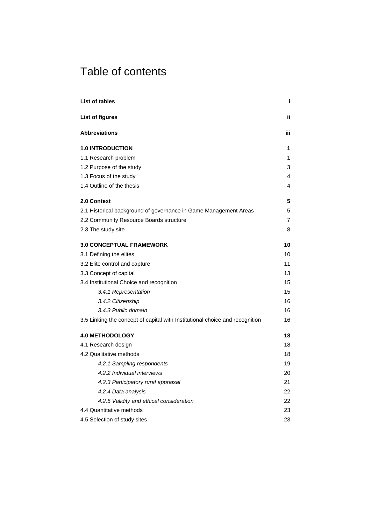# Table of contents

| List of tables                                                               | j.  |
|------------------------------------------------------------------------------|-----|
| <b>List of figures</b>                                                       | ii. |
| <b>Abbreviations</b>                                                         | iii |
| <b>1.0 INTRODUCTION</b>                                                      | 1   |
| 1.1 Research problem                                                         | 1   |
| 1.2 Purpose of the study                                                     | 3   |
| 1.3 Focus of the study                                                       | 4   |
| 1.4 Outline of the thesis                                                    | 4   |
| 2.0 Context                                                                  | 5   |
| 2.1 Historical background of governance in Game Management Areas             | 5   |
| 2.2 Community Resource Boards structure                                      | 7   |
| 2.3 The study site                                                           | 8   |
| <b>3.0 CONCEPTUAL FRAMEWORK</b>                                              | 10  |
| 3.1 Defining the elites                                                      | 10  |
| 3.2 Elite control and capture                                                | 11  |
| 3.3 Concept of capital                                                       |     |
| 3.4 Institutional Choice and recognition                                     |     |
| 3.4.1 Representation                                                         | 15  |
| 3.4.2 Citizenship                                                            | 16  |
| 3.4.3 Public domain                                                          | 16  |
| 3.5 Linking the concept of capital with Institutional choice and recognition | 16  |
| <b>4.0 METHODOLOGY</b>                                                       | 18  |
| 4.1 Research design                                                          | 18  |
| 4.2 Qualitative methods                                                      | 18  |
| 4.2.1 Sampling respondents                                                   | 19  |
| 4.2.2 Individual interviews                                                  | 20  |
| 4.2.3 Participatory rural appraisal                                          | 21  |
| 4.2.4 Data analysis                                                          | 22  |
| 4.2.5 Validity and ethical consideration                                     | 22  |
| 4.4 Quantitative methods                                                     |     |
| 4.5 Selection of study sites                                                 | 23  |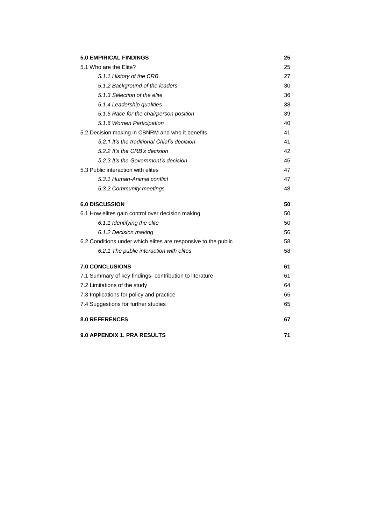| <b>5.0 EMPIRICAL FINDINGS</b>                                  |    |  |
|----------------------------------------------------------------|----|--|
| 5.1 Who are the Elite?                                         | 25 |  |
| 5.1.1 History of the CRB                                       | 27 |  |
| 5.1.2 Background of the leaders                                | 30 |  |
| 5.1.3 Selection of the elite                                   | 36 |  |
| 5.1.4 Leadership qualities                                     | 38 |  |
| 5.1.5 Race for the chairperson position                        | 39 |  |
| 5.1.6 Women Participation                                      | 40 |  |
| 5.2 Decision making in CBNRM and who it benefits               | 41 |  |
| 5.2.1 It's the traditional Chief's decision                    | 41 |  |
| 5.2.2 It's the CRB's decision                                  | 42 |  |
| 5.2.3 It's the Government's decision                           | 45 |  |
| 5.3 Public interaction with elites                             | 47 |  |
| 5.3.1 Human-Animal conflict                                    | 47 |  |
| 5.3.2 Community meetings                                       | 48 |  |
| <b>6.0 DISCUSSION</b>                                          | 50 |  |
| 6.1 How elites gain control over decision making               | 50 |  |
| 6.1.1 Identifying the elite                                    | 50 |  |
| 6.1.2 Decision making                                          | 56 |  |
| 6.2 Conditions under which elites are responsive to the public | 58 |  |
| 6.2.1 The public interaction with elites                       | 58 |  |
| <b>7.0 CONCLUSIONS</b>                                         | 61 |  |
| 7.1 Summary of key findings- contribution to literature        | 61 |  |
| 7.2 Limitations of the study                                   | 64 |  |
| 7.3 Implications for policy and practice                       | 65 |  |
| 7.4 Suggestions for further studies                            | 65 |  |
| <b>8.0 REFERENCES</b>                                          | 67 |  |
| <b>9.0 APPENDIX 1. PRA RESULTS</b>                             | 71 |  |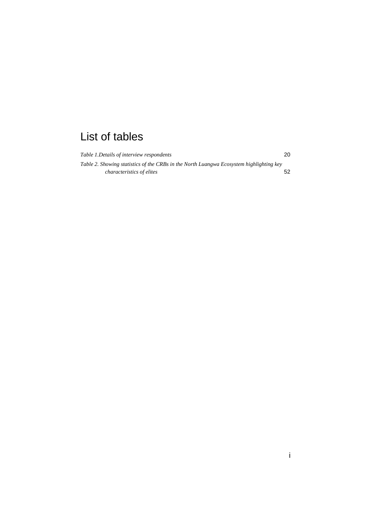# <span id="page-6-0"></span>List of tables

| Table 1. Details of interview respondents                                               | 20 |
|-----------------------------------------------------------------------------------------|----|
| Table 2. Showing statistics of the CRBs in the North Luangwa Ecosystem highlighting key |    |
| <i>characteristics of elites</i>                                                        | 52 |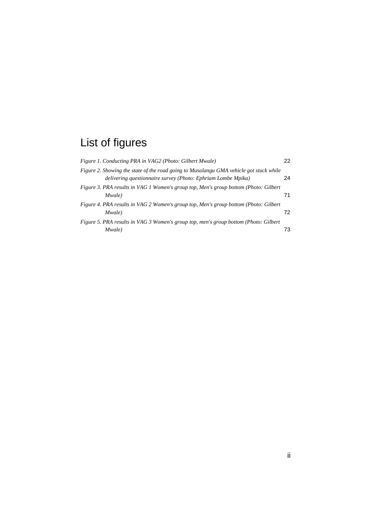# <span id="page-7-0"></span>List of figures

| Figure 1. Conducting PRA in VAG2 (Photo: Gilbert Mwale)                                                                                                | 22 |
|--------------------------------------------------------------------------------------------------------------------------------------------------------|----|
| Figure 2. Showing the state of the road going to Musalangu GMA vehicle got stuck while<br>delivering questionnaire survey (Photo: Ephriam Lombe Mpika) | 24 |
| Figure 3. PRA results in VAG 1 Women's group top, Men's group bottom (Photo: Gilbert<br>Mwale)                                                         | 71 |
| Figure 4. PRA results in VAG 2 Women's group top, Men's group bottom (Photo: Gilbert<br>Mwale)                                                         | 72 |
| Figure 5. PRA results in VAG 3 Women's group top, men's group bottom (Photo: Gilbert<br>Mwale)                                                         | 73 |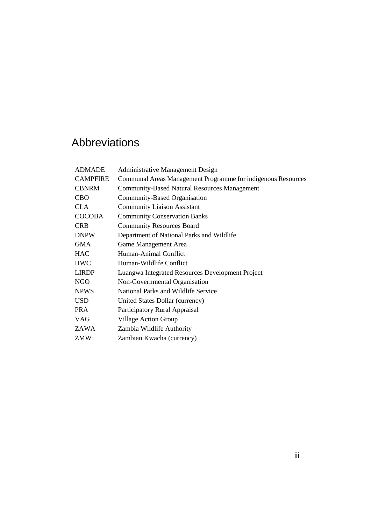# <span id="page-8-0"></span>Abbreviations

| <b>ADMADE</b>   | <b>Administrative Management Design</b>                      |
|-----------------|--------------------------------------------------------------|
| <b>CAMPFIRE</b> | Communal Areas Management Programme for indigenous Resources |
| <b>CBNRM</b>    | <b>Community-Based Natural Resources Management</b>          |
| <b>CBO</b>      | Community-Based Organisation                                 |
| <b>CLA</b>      | <b>Community Liaison Assistant</b>                           |
| <b>COCOBA</b>   | <b>Community Conservation Banks</b>                          |
| <b>CRB</b>      | <b>Community Resources Board</b>                             |
| <b>DNPW</b>     | Department of National Parks and Wildlife                    |
| <b>GMA</b>      | Game Management Area                                         |
| <b>HAC</b>      | Human-Animal Conflict                                        |
| <b>HWC</b>      | Human-Wildlife Conflict                                      |
| <b>LIRDP</b>    | Luangwa Integrated Resources Development Project             |
| <b>NGO</b>      | Non-Governmental Organisation                                |
| <b>NPWS</b>     | National Parks and Wildlife Service                          |
| <b>USD</b>      | United States Dollar (currency)                              |
| <b>PRA</b>      | Participatory Rural Appraisal                                |
| <b>VAG</b>      | <b>Village Action Group</b>                                  |
| ZAWA            | Zambia Wildlife Authority                                    |
| ZMW             | Zambian Kwacha (currency)                                    |
|                 |                                                              |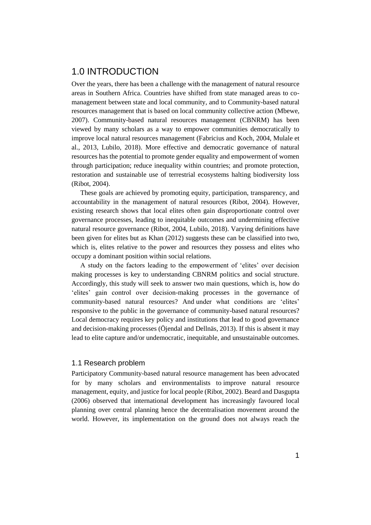## <span id="page-10-0"></span>1.0 INTRODUCTION

Over the years, there has been a challenge with the management of natural resource areas in Southern Africa. Countries have shifted from state managed areas to comanagement between state and local community, and to Community-based natural resources management that is based on local community collective action (Mbewe, 2007). Community-based natural resources management (CBNRM) has been viewed by many scholars as a way to empower communities democratically to improve local natural resources management (Fabricius and Koch, 2004, Mulale et al., 2013, Lubilo, 2018). More effective and democratic governance of natural resources has the potential to promote gender equality and empowerment of women through participation; reduce inequality within countries; and promote protection, restoration and sustainable use of terrestrial ecosystems halting biodiversity loss (Ribot, 2004).

These goals are achieved by promoting equity, participation, transparency, and accountability in the management of natural resources (Ribot, 2004). However, existing research shows that local elites often gain disproportionate control over governance processes, leading to inequitable outcomes and undermining effective natural resource governance (Ribot, 2004, Lubilo, 2018). Varying definitions have been given for elites but as Khan (2012) suggests these can be classified into two, which is, elites relative to the power and resources they possess and elites who occupy a dominant position within social relations.

A study on the factors leading to the empowerment of 'elites' over decision making processes is key to understanding CBNRM politics and social structure. Accordingly, this study will seek to answer two main questions, which is, how do 'elites' gain control over decision-making processes in the governance of community-based natural resources? And under what conditions are 'elites' responsive to the public in the governance of community-based natural resources? Local democracy requires key policy and institutions that lead to good governance and decision-making processes (Öjendal and Dellnäs, 2013). If this is absent it may lead to elite capture and/or undemocratic, inequitable, and unsustainable outcomes.

#### <span id="page-10-1"></span>1.1 Research problem

Participatory Community-based natural resource management has been advocated for by many scholars and environmentalists to improve natural resource management, equity, and justice for local people (Ribot, 2002). Beard and Dasgupta (2006) observed that international development has increasingly favoured local planning over central planning hence the decentralisation movement around the world. However, its implementation on the ground does not always reach the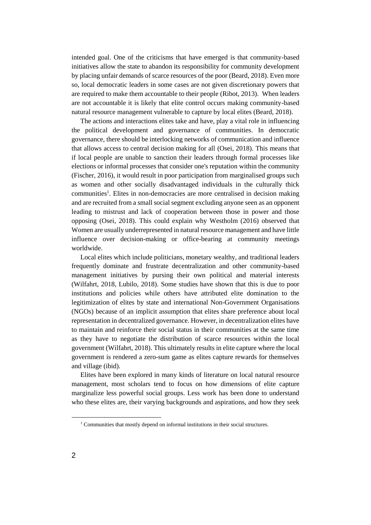intended goal. One of the criticisms that have emerged is that community-based initiatives allow the state to abandon its responsibility for community development by placing unfair demands of scarce resources of the poor (Beard, 2018). Even more so, local democratic leaders in some cases are not given discretionary powers that are required to make them accountable to their people (Ribot, 2013). When leaders are not accountable it is likely that elite control occurs making community-based natural resource management vulnerable to capture by local elites (Beard, 2018).

The actions and interactions elites take and have, play a vital role in influencing the political development and governance of communities. In democratic governance, there should be interlocking networks of communication and influence that allows access to central decision making for all (Osei, 2018). This means that if local people are unable to sanction their leaders through formal processes like elections or informal processes that consider one's reputation within the community (Fischer, 2016), it would result in poor participation from marginalised groups such as women and other socially disadvantaged individuals in the culturally thick communities<sup>1</sup>. Elites in non-democracies are more centralised in decision making and are recruited from a small social segment excluding anyone seen as an opponent leading to mistrust and lack of cooperation between those in power and those opposing (Osei, 2018). This could explain why Westholm (2016) observed that Women are usually underrepresented in natural resource management and have little influence over decision-making or office-bearing at community meetings worldwide.

Local elites which include politicians, monetary wealthy, and traditional leaders frequently dominate and frustrate decentralization and other community-based management initiatives by pursing their own political and material interests (Wilfahrt, 2018, Lubilo, 2018). Some studies have shown that this is due to poor institutions and policies while others have attributed elite domination to the legitimization of elites by state and international Non-Government Organisations (NGOs) because of an implicit assumption that elites share preference about local representation in decentralized governance. However, in decentralization elites have to maintain and reinforce their social status in their communities at the same time as they have to negotiate the distribution of scarce resources within the local government (Wilfahrt, 2018). This ultimately results in elite capture where the local government is rendered a zero-sum game as elites capture rewards for themselves and village (ibid).

Elites have been explored in many kinds of literature on local natural resource management, most scholars tend to focus on how dimensions of elite capture marginalize less powerful social groups. Less work has been done to understand who these elites are, their varying backgrounds and aspirations, and how they seek

 $\overline{a}$ 

<sup>&</sup>lt;sup>1</sup> Communities that mostly depend on informal institutions in their social structures.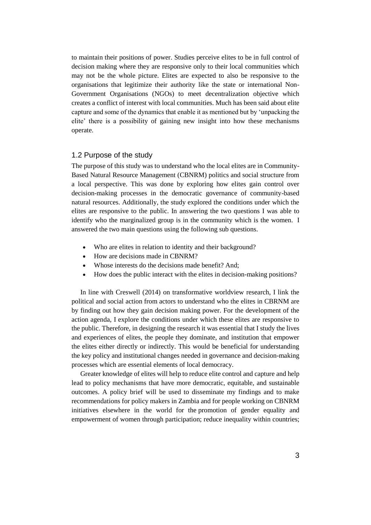to maintain their positions of power. Studies perceive elites to be in full control of decision making where they are responsive only to their local communities which may not be the whole picture. Elites are expected to also be responsive to the organisations that legitimize their authority like the state or international Non-Government Organisations (NGOs) to meet decentralization objective which creates a conflict of interest with local communities. Much has been said about elite capture and some of the dynamics that enable it as mentioned but by 'unpacking the elite' there is a possibility of gaining new insight into how these mechanisms operate.

#### <span id="page-12-0"></span>1.2 Purpose of the study

The purpose of this study was to understand who the local elites are in Community-Based Natural Resource Management (CBNRM) politics and social structure from a local perspective. This was done by exploring how elites gain control over decision-making processes in the democratic governance of community-based natural resources. Additionally, the study explored the conditions under which the elites are responsive to the public. In answering the two questions I was able to identify who the marginalized group is in the community which is the women. I answered the two main questions using the following sub questions.

- Who are elites in relation to identity and their background?
- How are decisions made in CBNRM?
- Whose interests do the decisions made benefit? And;
- How does the public interact with the elites in decision-making positions?

In line with Creswell (2014) on transformative worldview research, I link the political and social action from actors to understand who the elites in CBRNM are by finding out how they gain decision making power. For the development of the action agenda, I explore the conditions under which these elites are responsive to the public. Therefore, in designing the research it was essential that I study the lives and experiences of elites, the people they dominate, and institution that empower the elites either directly or indirectly. This would be beneficial for understanding the key policy and institutional changes needed in governance and decision-making processes which are essential elements of local democracy.

Greater knowledge of elites will help to reduce elite control and capture and help lead to policy mechanisms that have more democratic, equitable, and sustainable outcomes. A policy brief will be used to disseminate my findings and to make recommendations for policy makers in Zambia and for people working on CBNRM initiatives elsewhere in the world for the promotion of gender equality and empowerment of women through participation; reduce inequality within countries;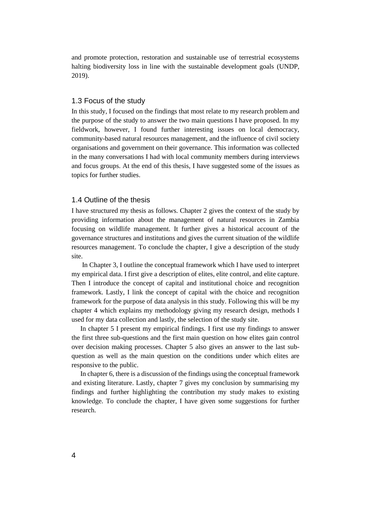and promote protection, restoration and sustainable use of terrestrial ecosystems halting biodiversity loss in line with the sustainable development goals (UNDP, 2019).

#### <span id="page-13-0"></span>1.3 Focus of the study

In this study, I focused on the findings that most relate to my research problem and the purpose of the study to answer the two main questions I have proposed. In my fieldwork, however, I found further interesting issues on local democracy, community-based natural resources management, and the influence of civil society organisations and government on their governance. This information was collected in the many conversations I had with local community members during interviews and focus groups. At the end of this thesis, I have suggested some of the issues as topics for further studies.

#### <span id="page-13-1"></span>1.4 Outline of the thesis

I have structured my thesis as follows. Chapter 2 gives the context of the study by providing information about the management of natural resources in Zambia focusing on wildlife management. It further gives a historical account of the governance structures and institutions and gives the current situation of the wildlife resources management. To conclude the chapter, I give a description of the study site.

In Chapter 3, I outline the conceptual framework which I have used to interpret my empirical data. I first give a description of elites, elite control, and elite capture. Then I introduce the concept of capital and institutional choice and recognition framework. Lastly, I link the concept of capital with the choice and recognition framework for the purpose of data analysis in this study. Following this will be my chapter 4 which explains my methodology giving my research design, methods I used for my data collection and lastly, the selection of the study site.

In chapter 5 I present my empirical findings. I first use my findings to answer the first three sub-questions and the first main question on how elites gain control over decision making processes. Chapter 5 also gives an answer to the last subquestion as well as the main question on the conditions under which elites are responsive to the public.

In chapter 6, there is a discussion of the findings using the conceptual framework and existing literature. Lastly, chapter 7 gives my conclusion by summarising my findings and further highlighting the contribution my study makes to existing knowledge. To conclude the chapter, I have given some suggestions for further research.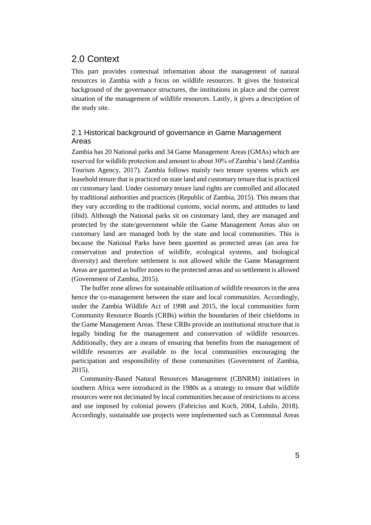## <span id="page-14-0"></span>2.0 Context

This part provides contextual information about the management of natural resources in Zambia with a focus on wildlife resources. It gives the historical background of the governance structures, the institutions in place and the current situation of the management of wildlife resources. Lastly, it gives a description of the study site.

## <span id="page-14-1"></span>2.1 Historical background of governance in Game Management Areas

Zambia has 20 National parks and 34 Game Management Areas (GMAs) which are reserved for wildlife protection and amount to about 30% of Zambia's land (Zambia Tourism Agency, 2017). Zambia follows mainly two tenure systems which are leasehold tenure that is practiced on state land and customary tenure that is practiced on customary land. Under customary tenure land rights are controlled and allocated by traditional authorities and practices (Republic of Zambia, 2015). This means that they vary according to the traditional customs, social norms, and attitudes to land (ibid). Although the National parks sit on customary land, they are managed and protected by the state/government while the Game Management Areas also on customary land are managed both by the state and local communities. This is because the National Parks have been gazetted as protected areas (an area for conservation and protection of wildlife, ecological systems, and biological diversity) and therefore settlement is not allowed while the Game Management Areas are gazetted as buffer zones to the protected areas and so settlement is allowed (Government of Zambia, 2015).

The buffer zone allows for sustainable utilisation of wildlife resources in the area hence the co-management between the state and local communities. Accordingly, under the Zambia Wildlife Act of 1998 and 2015, the local communities form Community Resource Boards (CRBs) within the boundaries of their chiefdoms in the Game Management Areas. These CRBs provide an institutional structure that is legally binding for the management and conservation of wildlife resources. Additionally, they are a means of ensuring that benefits from the management of wildlife resources are available to the local communities encouraging the participation and responsibility of those communities (Government of Zambia, 2015).

Community-Based Natural Resources Management (CBNRM) initiatives in southern Africa were introduced in the 1980s as a strategy to ensure that wildlife resources were not decimated by local communities because of restrictions to access and use imposed by colonial powers (Fabricius and Koch, 2004, Lubilo, 2018). Accordingly, sustainable use projects were implemented such as Communal Areas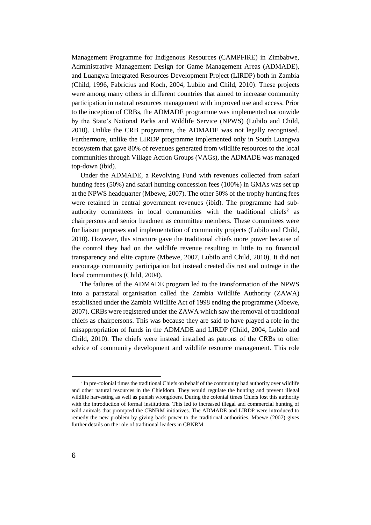Management Programme for Indigenous Resources (CAMPFIRE) in Zimbabwe, Administrative Management Design for Game Management Areas (ADMADE), and Luangwa Integrated Resources Development Project (LIRDP) both in Zambia (Child, 1996, Fabricius and Koch, 2004, Lubilo and Child, 2010). These projects were among many others in different countries that aimed to increase community participation in natural resources management with improved use and access. Prior to the inception of CRBs, the ADMADE programme was implemented nationwide by the State's National Parks and Wildlife Service (NPWS) (Lubilo and Child, 2010). Unlike the CRB programme, the ADMADE was not legally recognised. Furthermore, unlike the LIRDP programme implemented only in South Luangwa ecosystem that gave 80% of revenues generated from wildlife resources to the local communities through Village Action Groups (VAGs), the ADMADE was managed top-down (ibid).

Under the ADMADE, a Revolving Fund with revenues collected from safari hunting fees (50%) and safari hunting concession fees (100%) in GMAs was set up at the NPWS headquarter (Mbewe, 2007). The other 50% of the trophy hunting fees were retained in central government revenues (ibid). The programme had subauthority committees in local communities with the traditional chiefs<sup>2</sup> as chairpersons and senior headmen as committee members. These committees were for liaison purposes and implementation of community projects (Lubilo and Child, 2010). However, this structure gave the traditional chiefs more power because of the control they had on the wildlife revenue resulting in little to no financial transparency and elite capture (Mbewe, 2007, Lubilo and Child, 2010). It did not encourage community participation but instead created distrust and outrage in the local communities (Child, 2004).

The failures of the ADMADE program led to the transformation of the NPWS into a parastatal organisation called the Zambia Wildlife Authority (ZAWA) established under the Zambia Wildlife Act of 1998 ending the programme (Mbewe, 2007). CRBs were registered under the ZAWA which saw the removal of traditional chiefs as chairpersons. This was because they are said to have played a role in the misappropriation of funds in the ADMADE and LIRDP (Child, 2004, Lubilo and Child, 2010). The chiefs were instead installed as patrons of the CRBs to offer advice of community development and wildlife resource management. This role

 $\overline{a}$ 

<sup>&</sup>lt;sup>2</sup> In pre-colonial times the traditional Chiefs on behalf of the community had authority over wildlife and other natural resources in the Chiefdom. They would regulate the hunting and prevent illegal wildlife harvesting as well as punish wrongdoers. During the colonial times Chiefs lost this authority with the introduction of formal institutions. This led to increased illegal and commercial hunting of wild animals that prompted the CBNRM initiatives. The ADMADE and LIRDP were introduced to remedy the new problem by giving back power to the traditional authorities. Mbewe (2007) gives further details on the role of traditional leaders in CBNRM.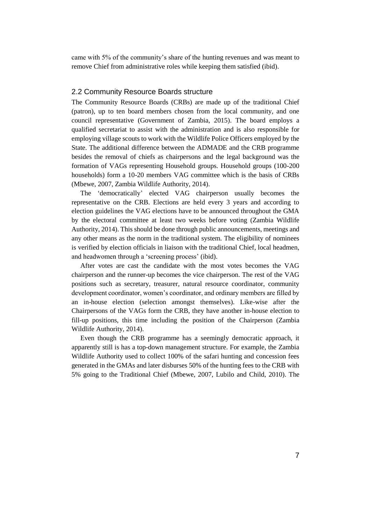came with 5% of the community's share of the hunting revenues and was meant to remove Chief from administrative roles while keeping them satisfied (ibid).

#### <span id="page-16-0"></span>2.2 Community Resource Boards structure

The Community Resource Boards (CRBs) are made up of the traditional Chief (patron), up to ten board members chosen from the local community, and one council representative (Government of Zambia, 2015). The board employs a qualified secretariat to assist with the administration and is also responsible for employing village scouts to work with the Wildlife Police Officers employed by the State. The additional difference between the ADMADE and the CRB programme besides the removal of chiefs as chairpersons and the legal background was the formation of VAGs representing Household groups. Household groups (100-200 households) form a 10-20 members VAG committee which is the basis of CRBs (Mbewe, 2007, Zambia Wildlife Authority, 2014).

The 'democratically' elected VAG chairperson usually becomes the representative on the CRB. Elections are held every 3 years and according to election guidelines the VAG elections have to be announced throughout the GMA by the electoral committee at least two weeks before voting (Zambia Wildlife Authority, 2014). This should be done through public announcements, meetings and any other means as the norm in the traditional system. The eligibility of nominees is verified by election officials in liaison with the traditional Chief, local headmen, and headwomen through a 'screening process' (ibid).

After votes are cast the candidate with the most votes becomes the VAG chairperson and the runner-up becomes the vice chairperson. The rest of the VAG positions such as secretary, treasurer, natural resource coordinator, community development coordinator, women's coordinator, and ordinary members are filled by an in-house election (selection amongst themselves). Like-wise after the Chairpersons of the VAGs form the CRB, they have another in-house election to fill-up positions, this time including the position of the Chairperson (Zambia Wildlife Authority, 2014).

Even though the CRB programme has a seemingly democratic approach, it apparently still is has a top-down management structure. For example, the Zambia Wildlife Authority used to collect 100% of the safari hunting and concession fees generated in the GMAs and later disburses 50% of the hunting fees to the CRB with 5% going to the Traditional Chief (Mbewe, 2007, Lubilo and Child, 2010). The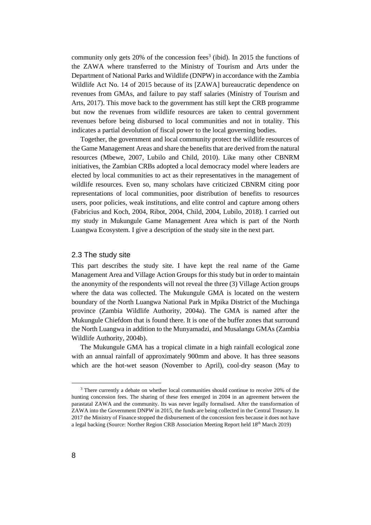community only gets 20% of the concession fees<sup>3</sup> (ibid). In 2015 the functions of the ZAWA where transferred to the Ministry of Tourism and Arts under the Department of National Parks and Wildlife (DNPW) in accordance with the Zambia Wildlife Act No. 14 of 2015 because of its [ZAWA] bureaucratic dependence on revenues from GMAs, and failure to pay staff salaries (Ministry of Tourism and Arts, 2017). This move back to the government has still kept the CRB programme but now the revenues from wildlife resources are taken to central government revenues before being disbursed to local communities and not in totality. This indicates a partial devolution of fiscal power to the local governing bodies.

Together, the government and local community protect the wildlife resources of the Game Management Areas and share the benefits that are derived from the natural resources (Mbewe, 2007, Lubilo and Child, 2010). Like many other CBNRM initiatives, the Zambian CRBs adopted a local democracy model where leaders are elected by local communities to act as their representatives in the management of wildlife resources. Even so, many scholars have criticized CBNRM citing poor representations of local communities, poor distribution of benefits to resources users, poor policies, weak institutions, and elite control and capture among others (Fabricius and Koch, 2004, Ribot, 2004, Child, 2004, Lubilo, 2018). I carried out my study in Mukungule Game Management Area which is part of the North Luangwa Ecosystem. I give a description of the study site in the next part.

#### <span id="page-17-0"></span>2.3 The study site

This part describes the study site. I have kept the real name of the Game Management Area and Village Action Groups for this study but in order to maintain the anonymity of the respondents will not reveal the three (3) Village Action groups where the data was collected. The Mukungule GMA is located on the western boundary of the North Luangwa National Park in Mpika District of the Muchinga province (Zambia Wildlife Authority, 2004a). The GMA is named after the Mukungule Chiefdom that is found there. It is one of the buffer zones that surround the North Luangwa in addition to the Munyamadzi, and Musalangu GMAs (Zambia Wildlife Authority, 2004b).

The Mukungule GMA has a tropical climate in a high rainfall ecological zone with an annual rainfall of approximately 900mm and above. It has three seasons which are the hot-wet season (November to April), cool-dry season (May to

 $\overline{a}$ 

<sup>3</sup> There currently a debate on whether local communities should continue to receive 20% of the hunting concession fees. The sharing of these fees emerged in 2004 in an agreement between the parastatal ZAWA and the community. Its was never legally formalised. After the transformation of ZAWA into the Government DNPW in 2015, the funds are being collected in the Central Treasury. In 2017 the Ministry of Finance stopped the disbursement of the concession fees because it does not have a legal backing (Source: Norther Region CRB Association Meeting Report held 18th March 2019)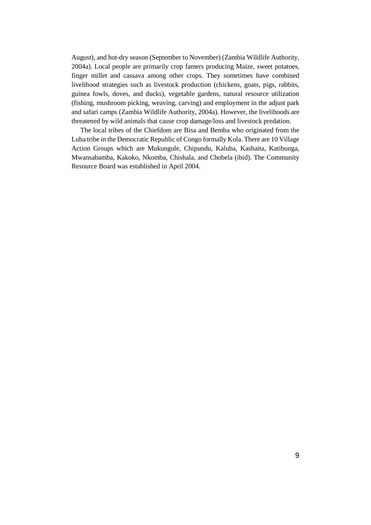August), and hot-dry season (September to November) (Zambia Wildlife Authority, 2004a). Local people are primarily crop famers producing Maize, sweet potatoes, finger millet and cassava among other crops. They sometimes have combined livelihood strategies such as livestock production (chickens, goats, pigs, rabbits, guinea fowls, doves, and ducks), vegetable gardens, natural resource utilization (fishing, mushroom picking, weaving, carving) and employment in the adjust park and safari camps (Zambia Wildlife Authority, 2004a). However, the livelihoods are threatened by wild animals that cause crop damage/loss and livestock predation.

The local tribes of the Chiefdom are Bisa and Bemba who originated from the Luba tribe in the Democratic Republic of Congo formally Kola. There are 10 Village Action Groups which are Mukungule, Chipundu, Kaluba, Kashaita, Katibunga, Mwansabamba, Kakoko, Nkomba, Chishala, and Chobela (ibid). The Community Resource Board was established in April 2004.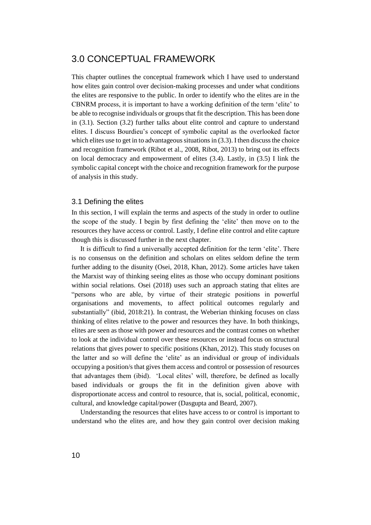## <span id="page-19-0"></span>3.0 CONCEPTUAL FRAMEWORK

This chapter outlines the conceptual framework which I have used to understand how elites gain control over decision-making processes and under what conditions the elites are responsive to the public. In order to identify who the elites are in the CBNRM process, it is important to have a working definition of the term 'elite' to be able to recognise individuals or groups that fit the description. This has been done in (3.1). Section (3.2) further talks about elite control and capture to understand elites. I discuss Bourdieu's concept of symbolic capital as the overlooked factor which elites use to get in to advantageous situations in (3.3). I then discuss the choice and recognition framework (Ribot et al., 2008, Ribot, 2013) to bring out its effects on local democracy and empowerment of elites (3.4). Lastly, in (3.5) I link the symbolic capital concept with the choice and recognition framework for the purpose of analysis in this study.

#### <span id="page-19-1"></span>3.1 Defining the elites

In this section, I will explain the terms and aspects of the study in order to outline the scope of the study. I begin by first defining the 'elite' then move on to the resources they have access or control. Lastly, I define elite control and elite capture though this is discussed further in the next chapter.

It is difficult to find a universally accepted definition for the term 'elite'. There is no consensus on the definition and scholars on elites seldom define the term further adding to the disunity (Osei, 2018, Khan, 2012). Some articles have taken the Marxist way of thinking seeing elites as those who occupy dominant positions within social relations. Osei (2018) uses such an approach stating that elites are "persons who are able, by virtue of their strategic positions in powerful organisations and movements, to affect political outcomes regularly and substantially" (ibid, 2018:21). In contrast, the Weberian thinking focuses on class thinking of elites relative to the power and resources they have. In both thinkings, elites are seen as those with power and resources and the contrast comes on whether to look at the individual control over these resources or instead focus on structural relations that gives power to specific positions (Khan, 2012). This study focuses on the latter and so will define the 'elite' as an individual or group of individuals occupying a position/s that gives them access and control or possession of resources that advantages them (ibid). 'Local elites' will, therefore, be defined as locally based individuals or groups the fit in the definition given above with disproportionate access and control to resource, that is, social, political, economic, cultural, and knowledge capital/power (Dasgupta and Beard, 2007).

Understanding the resources that elites have access to or control is important to understand who the elites are, and how they gain control over decision making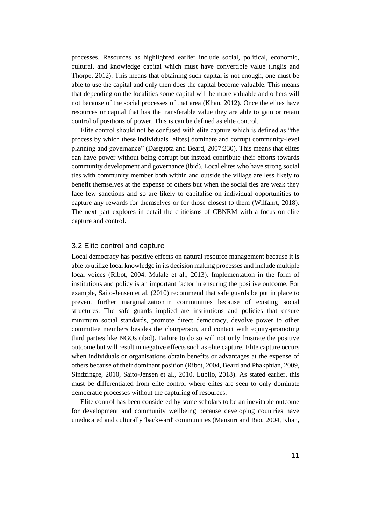processes. Resources as highlighted earlier include social, political, economic, cultural, and knowledge capital which must have convertible value (Inglis and Thorpe, 2012). This means that obtaining such capital is not enough, one must be able to use the capital and only then does the capital become valuable. This means that depending on the localities some capital will be more valuable and others will not because of the social processes of that area (Khan, 2012). Once the elites have resources or capital that has the transferable value they are able to gain or retain control of positions of power. This is can be defined as elite control.

Elite control should not be confused with elite capture which is defined as "the process by which these individuals [elites] dominate and corrupt community-level planning and governance" (Dasgupta and Beard, 2007:230). This means that elites can have power without being corrupt but instead contribute their efforts towards community development and governance (ibid). Local elites who have strong social ties with community member both within and outside the village are less likely to benefit themselves at the expense of others but when the social ties are weak they face few sanctions and so are likely to capitalise on individual opportunities to capture any rewards for themselves or for those closest to them (Wilfahrt, 2018). The next part explores in detail the criticisms of CBNRM with a focus on elite capture and control.

#### <span id="page-20-0"></span>3.2 Elite control and capture

Local democracy has positive effects on natural resource management because it is able to utilize local knowledge in its decision making processes and include multiple local voices (Ribot, 2004, Mulale et al., 2013). Implementation in the form of institutions and policy is an important factor in ensuring the positive outcome. For example, Saito-Jensen et al. (2010) recommend that safe guards be put in place to prevent further marginalization in communities because of existing social structures. The safe guards implied are institutions and policies that ensure minimum social standards, promote direct democracy, devolve power to other committee members besides the chairperson, and contact with equity-promoting third parties like NGOs (ibid). Failure to do so will not only frustrate the positive outcome but will result in negative effects such as elite capture. Elite capture occurs when individuals or organisations obtain benefits or advantages at the expense of others because of their dominant position (Ribot, 2004, Beard and Phakphian, 2009, Sindzingre, 2010, Saito-Jensen et al., 2010, Lubilo, 2018). As stated earlier, this must be differentiated from elite control where elites are seen to only dominate democratic processes without the capturing of resources.

Elite control has been considered by some scholars to be an inevitable outcome for development and community wellbeing because developing countries have uneducated and culturally 'backward' communities (Mansuri and Rao, 2004, Khan,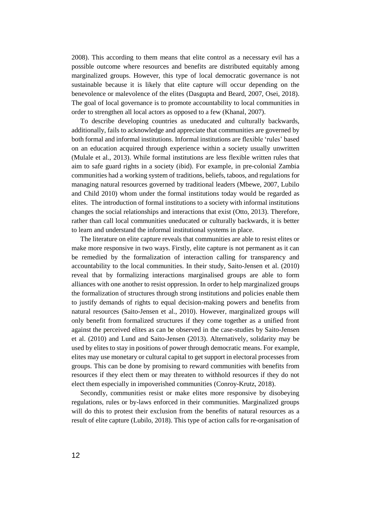2008). This according to them means that elite control as a necessary evil has a possible outcome where resources and benefits are distributed equitably among marginalized groups. However, this type of local democratic governance is not sustainable because it is likely that elite capture will occur depending on the benevolence or malevolence of the elites (Dasgupta and Beard, 2007, Osei, 2018). The goal of local governance is to promote accountability to local communities in order to strengthen all local actors as opposed to a few (Khanal, 2007).

To describe developing countries as uneducated and culturally backwards, additionally, fails to acknowledge and appreciate that communities are governed by both formal and informal institutions. Informal institutions are flexible 'rules' based on an education acquired through experience within a society usually unwritten (Mulale et al., 2013). While formal institutions are less flexible written rules that aim to safe guard rights in a society (ibid). For example, in pre-colonial Zambia communities had a working system of traditions, beliefs, taboos, and regulations for managing natural resources governed by traditional leaders (Mbewe, 2007, Lubilo and Child 2010) whom under the formal institutions today would be regarded as elites. The introduction of formal institutions to a society with informal institutions changes the social relationships and interactions that exist (Otto, 2013). Therefore, rather than call local communities uneducated or culturally backwards, it is better to learn and understand the informal institutional systems in place.

The literature on elite capture reveals that communities are able to resist elites or make more responsive in two ways. Firstly, elite capture is not permanent as it can be remedied by the formalization of interaction calling for transparency and accountability to the local communities. In their study, Saito-Jensen et al. (2010) reveal that by formalizing interactions marginalised groups are able to form alliances with one another to resist oppression. In order to help marginalized groups the formalization of structures through strong institutions and policies enable them to justify demands of rights to equal decision-making powers and benefits from natural resources (Saito-Jensen et al., 2010). However, marginalized groups will only benefit from formalized structures if they come together as a unified front against the perceived elites as can be observed in the case-studies by Saito-Jensen et al. (2010) and Lund and Saito-Jensen (2013). Alternatively, solidarity may be used by elites to stay in positions of power through democratic means. For example, elites may use monetary or cultural capital to get support in electoral processes from groups. This can be done by promising to reward communities with benefits from resources if they elect them or may threaten to withhold resources if they do not elect them especially in impoverished communities (Conroy-Krutz, 2018).

Secondly, communities resist or make elites more responsive by disobeying regulations, rules or by-laws enforced in their communities. Marginalized groups will do this to protest their exclusion from the benefits of natural resources as a result of elite capture (Lubilo, 2018). This type of action calls for re-organisation of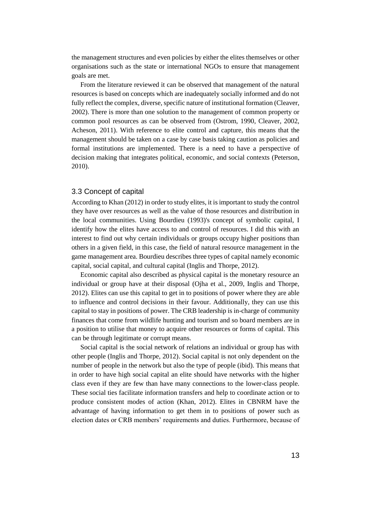the management structures and even policies by either the elites themselves or other organisations such as the state or international NGOs to ensure that management goals are met.

From the literature reviewed it can be observed that management of the natural resources is based on concepts which are inadequately socially informed and do not fully reflect the complex, diverse, specific nature of institutional formation (Cleaver, 2002). There is more than one solution to the management of common property or common pool resources as can be observed from (Ostrom, 1990, Cleaver, 2002, Acheson, 2011). With reference to elite control and capture, this means that the management should be taken on a case by case basis taking caution as policies and formal institutions are implemented. There is a need to have a perspective of decision making that integrates political, economic, and social contexts (Peterson, 2010).

#### <span id="page-22-0"></span>3.3 Concept of capital

According to Khan (2012) in order to study elites, it is important to study the control they have over resources as well as the value of those resources and distribution in the local communities. Using Bourdieu (1993)'s concept of symbolic capital, I identify how the elites have access to and control of resources. I did this with an interest to find out why certain individuals or groups occupy higher positions than others in a given field, in this case, the field of natural resource management in the game management area. Bourdieu describes three types of capital namely economic capital, social capital, and cultural capital (Inglis and Thorpe, 2012).

Economic capital also described as physical capital is the monetary resource an individual or group have at their disposal (Ojha et al., 2009, Inglis and Thorpe, 2012). Elites can use this capital to get in to positions of power where they are able to influence and control decisions in their favour. Additionally, they can use this capital to stay in positions of power. The CRB leadership is in-charge of community finances that come from wildlife hunting and tourism and so board members are in a position to utilise that money to acquire other resources or forms of capital. This can be through legitimate or corrupt means.

Social capital is the social network of relations an individual or group has with other people (Inglis and Thorpe, 2012). Social capital is not only dependent on the number of people in the network but also the type of people (ibid). This means that in order to have high social capital an elite should have networks with the higher class even if they are few than have many connections to the lower-class people. These social ties facilitate information transfers and help to coordinate action or to produce consistent modes of action (Khan, 2012). Elites in CBNRM have the advantage of having information to get them in to positions of power such as election dates or CRB members' requirements and duties. Furthermore, because of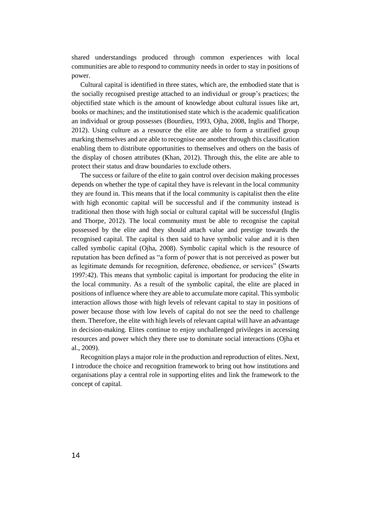shared understandings produced through common experiences with local communities are able to respond to community needs in order to stay in positions of power.

Cultural capital is identified in three states, which are, the embodied state that is the socially recognised prestige attached to an individual or group's practices; the objectified state which is the amount of knowledge about cultural issues like art, books or machines; and the institutionised state which is the academic qualification an individual or group possesses (Bourdieu, 1993, Ojha, 2008, Inglis and Thorpe, 2012). Using culture as a resource the elite are able to form a stratified group marking themselves and are able to recognise one another through this classification enabling them to distribute opportunities to themselves and others on the basis of the display of chosen attributes (Khan, 2012). Through this, the elite are able to protect their status and draw boundaries to exclude others.

The success or failure of the elite to gain control over decision making processes depends on whether the type of capital they have is relevant in the local community they are found in. This means that if the local community is capitalist then the elite with high economic capital will be successful and if the community instead is traditional then those with high social or cultural capital will be successful (Inglis and Thorpe, 2012). The local community must be able to recognise the capital possessed by the elite and they should attach value and prestige towards the recognised capital. The capital is then said to have symbolic value and it is then called symbolic capital (Ojha, 2008). Symbolic capital which is the resource of reputation has been defined as "a form of power that is not perceived as power but as legitimate demands for recognition, deference, obedience, or services" (Swarts 1997:42). This means that symbolic capital is important for producing the elite in the local community. As a result of the symbolic capital, the elite are placed in positions of influence where they are able to accumulate more capital. This symbolic interaction allows those with high levels of relevant capital to stay in positions of power because those with low levels of capital do not see the need to challenge them. Therefore, the elite with high levels of relevant capital will have an advantage in decision-making. Elites continue to enjoy unchallenged privileges in accessing resources and power which they there use to dominate social interactions (Ojha et al., 2009).

Recognition plays a major role in the production and reproduction of elites. Next, I introduce the choice and recognition framework to bring out how institutions and organisations play a central role in supporting elites and link the framework to the concept of capital.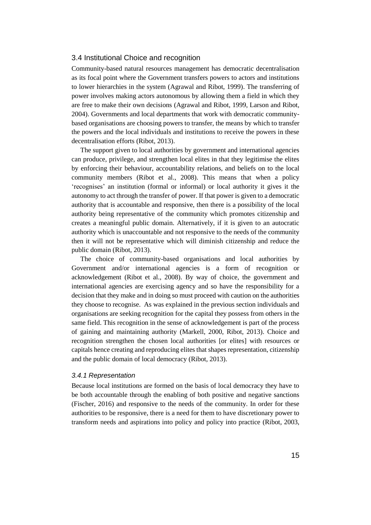#### <span id="page-24-0"></span>3.4 Institutional Choice and recognition

Community-based natural resources management has democratic decentralisation as its focal point where the Government transfers powers to actors and institutions to lower hierarchies in the system (Agrawal and Ribot, 1999). The transferring of power involves making actors autonomous by allowing them a field in which they are free to make their own decisions (Agrawal and Ribot, 1999, Larson and Ribot, 2004). Governments and local departments that work with democratic communitybased organisations are choosing powers to transfer, the means by which to transfer the powers and the local individuals and institutions to receive the powers in these decentralisation efforts (Ribot, 2013).

The support given to local authorities by government and international agencies can produce, privilege, and strengthen local elites in that they legitimise the elites by enforcing their behaviour, accountability relations, and beliefs on to the local community members (Ribot et al., 2008). This means that when a policy 'recognises' an institution (formal or informal) or local authority it gives it the autonomy to act through the transfer of power. If that power is given to a democratic authority that is accountable and responsive, then there is a possibility of the local authority being representative of the community which promotes citizenship and creates a meaningful public domain. Alternatively, if it is given to an autocratic authority which is unaccountable and not responsive to the needs of the community then it will not be representative which will diminish citizenship and reduce the public domain (Ribot, 2013).

The choice of community-based organisations and local authorities by Government and/or international agencies is a form of recognition or acknowledgement (Ribot et al., 2008). By way of choice, the government and international agencies are exercising agency and so have the responsibility for a decision that they make and in doing so must proceed with caution on the authorities they choose to recognise. As was explained in the previous section individuals and organisations are seeking recognition for the capital they possess from others in the same field. This recognition in the sense of acknowledgement is part of the process of gaining and maintaining authority (Markell, 2000, Ribot, 2013). Choice and recognition strengthen the chosen local authorities [or elites] with resources or capitals hence creating and reproducing elites that shapes representation, citizenship and the public domain of local democracy (Ribot, 2013).

#### <span id="page-24-1"></span>*3.4.1 Representation*

Because local institutions are formed on the basis of local democracy they have to be both accountable through the enabling of both positive and negative sanctions (Fischer, 2016) and responsive to the needs of the community. In order for these authorities to be responsive, there is a need for them to have discretionary power to transform needs and aspirations into policy and policy into practice (Ribot, 2003,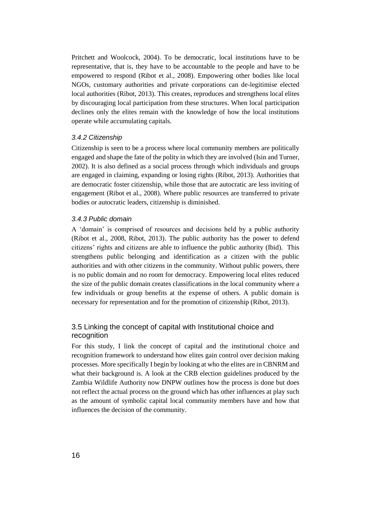Pritchett and Woolcock, 2004). To be democratic, local institutions have to be representative, that is, they have to be accountable to the people and have to be empowered to respond (Ribot et al., 2008). Empowering other bodies like local NGOs, customary authorities and private corporations can de-legitimise elected local authorities (Ribot, 2013). This creates, reproduces and strengthens local elites by discouraging local participation from these structures. When local participation declines only the elites remain with the knowledge of how the local institutions operate while accumulating capitals.

#### <span id="page-25-0"></span>*3.4.2 Citizenship*

Citizenship is seen to be a process where local community members are politically engaged and shape the fate of the polity in which they are involved (Isin and Turner, 2002). It is also defined as a social process through which individuals and groups are engaged in claiming, expanding or losing rights (Ribot, 2013). Authorities that are democratic foster citizenship, while those that are autocratic are less inviting of engagement (Ribot et al., 2008). Where public resources are transferred to private bodies or autocratic leaders, citizenship is diminished.

#### <span id="page-25-1"></span>*3.4.3 Public domain*

A 'domain' is comprised of resources and decisions held by a public authority (Ribot et al., 2008, Ribot, 2013). The public authority has the power to defend citizens' rights and citizens are able to influence the public authority (Ibid). This strengthens public belonging and identification as a citizen with the public authorities and with other citizens in the community. Without public powers, there is no public domain and no room for democracy. Empowering local elites reduced the size of the public domain creates classifications in the local community where a few individuals or group benefits at the expense of others. A public domain is necessary for representation and for the promotion of citizenship (Ribot, 2013).

#### <span id="page-25-2"></span>3.5 Linking the concept of capital with Institutional choice and recognition

For this study, I link the concept of capital and the institutional choice and recognition framework to understand how elites gain control over decision making processes. More specifically I begin by looking at who the elites are in CBNRM and what their background is. A look at the CRB election guidelines produced by the Zambia Wildlife Authority now DNPW outlines how the process is done but does not reflect the actual process on the ground which has other influences at play such as the amount of symbolic capital local community members have and how that influences the decision of the community.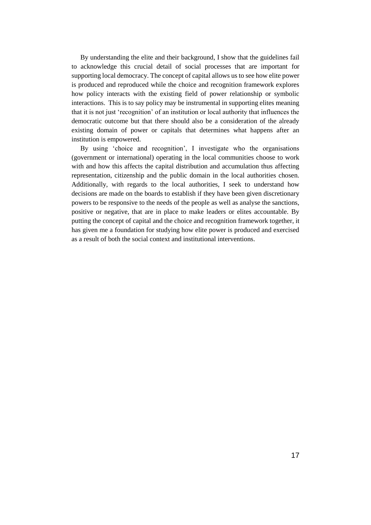By understanding the elite and their background, I show that the guidelines fail to acknowledge this crucial detail of social processes that are important for supporting local democracy. The concept of capital allows us to see how elite power is produced and reproduced while the choice and recognition framework explores how policy interacts with the existing field of power relationship or symbolic interactions. This is to say policy may be instrumental in supporting elites meaning that it is not just 'recognition' of an institution or local authority that influences the democratic outcome but that there should also be a consideration of the already existing domain of power or capitals that determines what happens after an institution is empowered.

By using 'choice and recognition', I investigate who the organisations (government or international) operating in the local communities choose to work with and how this affects the capital distribution and accumulation thus affecting representation, citizenship and the public domain in the local authorities chosen. Additionally, with regards to the local authorities, I seek to understand how decisions are made on the boards to establish if they have been given discretionary powers to be responsive to the needs of the people as well as analyse the sanctions, positive or negative, that are in place to make leaders or elites accountable. By putting the concept of capital and the choice and recognition framework together, it has given me a foundation for studying how elite power is produced and exercised as a result of both the social context and institutional interventions.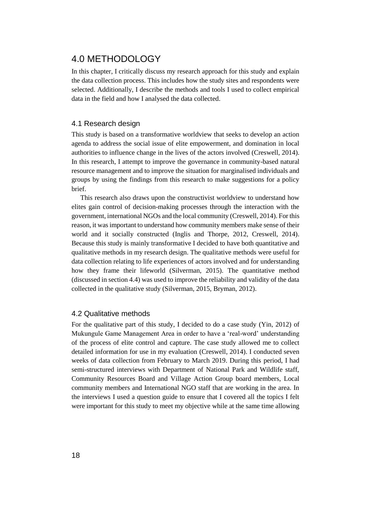## <span id="page-27-0"></span>4.0 METHODOLOGY

In this chapter, I critically discuss my research approach for this study and explain the data collection process. This includes how the study sites and respondents were selected. Additionally, I describe the methods and tools I used to collect empirical data in the field and how I analysed the data collected.

#### <span id="page-27-1"></span>4.1 Research design

This study is based on a transformative worldview that seeks to develop an action agenda to address the social issue of elite empowerment, and domination in local authorities to influence change in the lives of the actors involved (Creswell, 2014). In this research, I attempt to improve the governance in community-based natural resource management and to improve the situation for marginalised individuals and groups by using the findings from this research to make suggestions for a policy brief.

This research also draws upon the constructivist worldview to understand how elites gain control of decision-making processes through the interaction with the government, international NGOs and the local community (Creswell, 2014). For this reason, it was important to understand how community members make sense of their world and it socially constructed (Inglis and Thorpe, 2012, Creswell, 2014). Because this study is mainly transformative I decided to have both quantitative and qualitative methods in my research design. The qualitative methods were useful for data collection relating to life experiences of actors involved and for understanding how they frame their lifeworld (Silverman, 2015). The quantitative method (discussed in section 4.4) was used to improve the reliability and validity of the data collected in the qualitative study (Silverman, 2015, Bryman, 2012).

#### <span id="page-27-2"></span>4.2 Qualitative methods

For the qualitative part of this study, I decided to do a case study (Yin, 2012) of Mukungule Game Management Area in order to have a 'real-word' understanding of the process of elite control and capture. The case study allowed me to collect detailed information for use in my evaluation (Creswell, 2014). I conducted seven weeks of data collection from February to March 2019. During this period, I had semi-structured interviews with Department of National Park and Wildlife staff, Community Resources Board and Village Action Group board members, Local community members and International NGO staff that are working in the area. In the interviews I used a question guide to ensure that I covered all the topics I felt were important for this study to meet my objective while at the same time allowing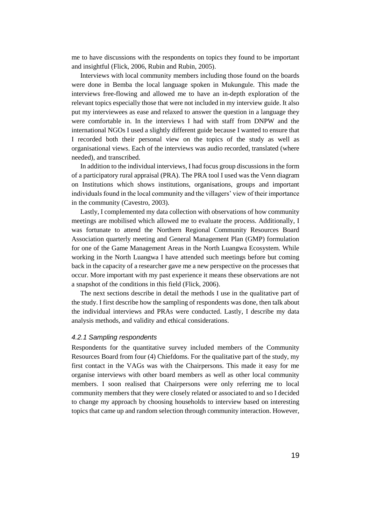me to have discussions with the respondents on topics they found to be important and insightful (Flick, 2006, Rubin and Rubin, 2005).

Interviews with local community members including those found on the boards were done in Bemba the local language spoken in Mukungule. This made the interviews free-flowing and allowed me to have an in-depth exploration of the relevant topics especially those that were not included in my interview guide. It also put my interviewees as ease and relaxed to answer the question in a language they were comfortable in. In the interviews I had with staff from DNPW and the international NGOs I used a slightly different guide because I wanted to ensure that I recorded both their personal view on the topics of the study as well as organisational views. Each of the interviews was audio recorded, translated (where needed), and transcribed.

In addition to the individual interviews, I had focus group discussions in the form of a participatory rural appraisal (PRA). The PRA tool I used was the Venn diagram on Institutions which shows institutions, organisations, groups and important individuals found in the local community and the villagers' view of their importance in the community (Cavestro, 2003).

Lastly, I complemented my data collection with observations of how community meetings are mobilised which allowed me to evaluate the process. Additionally, I was fortunate to attend the Northern Regional Community Resources Board Association quarterly meeting and General Management Plan (GMP) formulation for one of the Game Management Areas in the North Luangwa Ecosystem. While working in the North Luangwa I have attended such meetings before but coming back in the capacity of a researcher gave me a new perspective on the processes that occur. More important with my past experience it means these observations are not a snapshot of the conditions in this field (Flick, 2006).

The next sections describe in detail the methods I use in the qualitative part of the study. I first describe how the sampling of respondents was done, then talk about the individual interviews and PRAs were conducted. Lastly, I describe my data analysis methods, and validity and ethical considerations.

#### <span id="page-28-0"></span>*4.2.1 Sampling respondents*

Respondents for the quantitative survey included members of the Community Resources Board from four (4) Chiefdoms. For the qualitative part of the study, my first contact in the VAGs was with the Chairpersons. This made it easy for me organise interviews with other board members as well as other local community members. I soon realised that Chairpersons were only referring me to local community members that they were closely related or associated to and so I decided to change my approach by choosing households to interview based on interesting topics that came up and random selection through community interaction. However,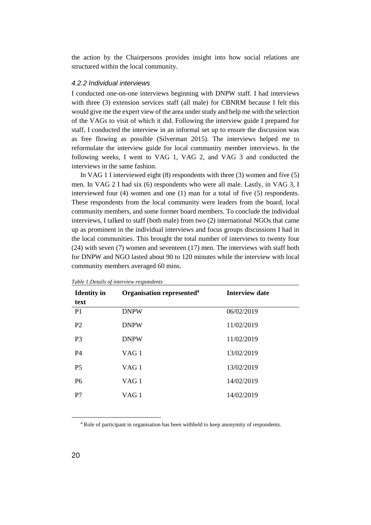the action by the Chairpersons provides insight into how social relations are structured within the local community.

#### <span id="page-29-0"></span>*4.2.2 Individual interviews*

I conducted one-on-one interviews beginning with DNPW staff. I had interviews with three (3) extension services staff (all male) for CBNRM because I felt this would give me the expert view of the area under study and help me with the selection of the VAGs to visit of which it did. Following the interview guide I prepared for staff, I conducted the interview in an informal set up to ensure the discussion was as free flowing as possible (Silverman 2015). The interviews helped me to reformulate the interview guide for local community member interviews. In the following weeks, I went to VAG 1, VAG 2, and VAG 3 and conducted the interviews in the same fashion.

In VAG 1 I interviewed eight (8) respondents with three (3) women and five (5) men. In VAG 2 I had six (6) respondents who were all male. Lastly, in VAG 3, I interviewed four (4) women and one (1) man for a total of five (5) respondents. These respondents from the local community were leaders from the board, local community members, and some former board members. To conclude the individual interviews, I talked to staff (both male) from two (2) international NGOs that came up as prominent in the individual interviews and focus groups discussions I had in the local communities. This brought the total number of interviews to twenty four (24) with seven (7) women and seventeen (17) men. The interviews with staff both for DNPW and NGO lasted about 90 to 120 minutes while the interview with local community members averaged 60 mins.

| <b>Identity</b> in<br>text | Organisation represented <sup>4</sup> | <b>Interview date</b> |
|----------------------------|---------------------------------------|-----------------------|
| P1                         | <b>DNPW</b>                           | 06/02/2019            |
| P <sub>2</sub>             | <b>DNPW</b>                           | 11/02/2019            |
| P <sub>3</sub>             | <b>DNPW</b>                           | 11/02/2019            |
| P4                         | VAG <sub>1</sub>                      | 13/02/2019            |
| P <sub>5</sub>             | VAG <sub>1</sub>                      | 13/02/2019            |
| P <sub>6</sub>             | VAG <sub>1</sub>                      | 14/02/2019            |
| P7                         | VAG <sub>1</sub>                      | 14/02/2019            |
|                            |                                       |                       |

<span id="page-29-1"></span>*Table 1.Details of interview respondents*

<sup>4</sup> Role of participant in organisation has been withheld to keep anonymity of respondents.

 $\overline{a}$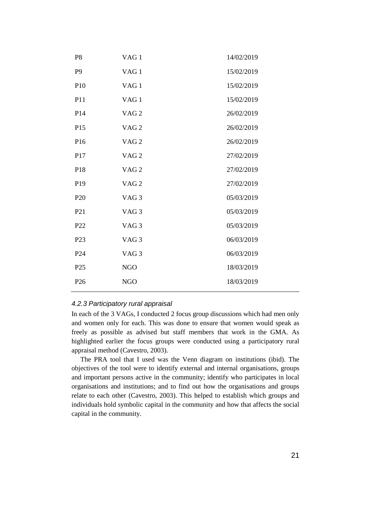| P <sub>8</sub>  | VAG <sub>1</sub> | 14/02/2019 |
|-----------------|------------------|------------|
| P <sub>9</sub>  | VAG <sub>1</sub> | 15/02/2019 |
| P10             | VAG <sub>1</sub> | 15/02/2019 |
| P <sub>11</sub> | VAG <sub>1</sub> | 15/02/2019 |
| P <sub>14</sub> | VAG <sub>2</sub> | 26/02/2019 |
| P15             | VAG <sub>2</sub> | 26/02/2019 |
| P16             | VAG <sub>2</sub> | 26/02/2019 |
| P17             | VAG <sub>2</sub> | 27/02/2019 |
| P18             | VAG <sub>2</sub> | 27/02/2019 |
| P <sub>19</sub> | VAG <sub>2</sub> | 27/02/2019 |
| P <sub>20</sub> | VAG <sub>3</sub> | 05/03/2019 |
| P <sub>21</sub> | VAG <sub>3</sub> | 05/03/2019 |
| P <sub>22</sub> | VAG <sub>3</sub> | 05/03/2019 |
| P <sub>23</sub> | VAG <sub>3</sub> | 06/03/2019 |
| P <sub>24</sub> | VAG <sub>3</sub> | 06/03/2019 |
| P <sub>25</sub> | <b>NGO</b>       | 18/03/2019 |
| P <sub>26</sub> | <b>NGO</b>       | 18/03/2019 |
|                 |                  |            |

#### <span id="page-30-0"></span>*4.2.3 Participatory rural appraisal*

In each of the 3 VAGs, I conducted 2 focus group discussions which had men only and women only for each. This was done to ensure that women would speak as freely as possible as advised but staff members that work in the GMA. As highlighted earlier the focus groups were conducted using a participatory rural appraisal method (Cavestro, 2003).

The PRA tool that I used was the Venn diagram on institutions (ibid). The objectives of the tool were to identify external and internal organisations, groups and important persons active in the community; identify who participates in local organisations and institutions; and to find out how the organisations and groups relate to each other (Cavestro, 2003). This helped to establish which groups and individuals hold symbolic capital in the community and how that affects the social capital in the community.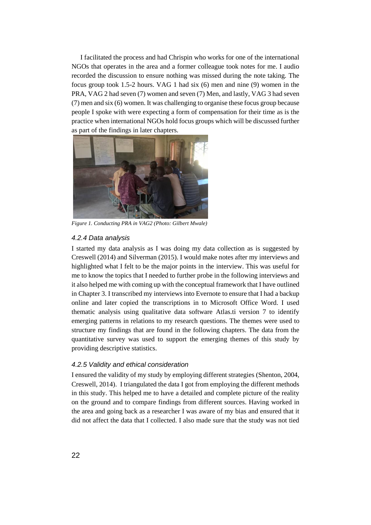I facilitated the process and had Chrispin who works for one of the international NGOs that operates in the area and a former colleague took notes for me. I audio recorded the discussion to ensure nothing was missed during the note taking. The focus group took 1.5-2 hours. VAG 1 had six (6) men and nine (9) women in the PRA, VAG 2 had seven (7) women and seven (7) Men, and lastly, VAG 3 had seven (7) men and six (6) women. It was challenging to organise these focus group because people I spoke with were expecting a form of compensation for their time as is the practice when international NGOs hold focus groups which will be discussed further as part of the findings in later chapters.



*Figure 1. Conducting PRA in VAG2 (Photo: Gilbert Mwale)*

#### <span id="page-31-2"></span><span id="page-31-0"></span>*4.2.4 Data analysis*

I started my data analysis as I was doing my data collection as is suggested by Creswell (2014) and Silverman (2015). I would make notes after my interviews and highlighted what I felt to be the major points in the interview. This was useful for me to know the topics that I needed to further probe in the following interviews and it also helped me with coming up with the conceptual framework that I have outlined in Chapter 3. I transcribed my interviews into Evernote to ensure that I had a backup online and later copied the transcriptions in to Microsoft Office Word. I used thematic analysis using qualitative data software Atlas.ti version 7 to identify emerging patterns in relations to my research questions. The themes were used to structure my findings that are found in the following chapters. The data from the quantitative survey was used to support the emerging themes of this study by providing descriptive statistics.

#### <span id="page-31-1"></span>*4.2.5 Validity and ethical consideration*

I ensured the validity of my study by employing different strategies (Shenton, 2004, Creswell, 2014). I triangulated the data I got from employing the different methods in this study. This helped me to have a detailed and complete picture of the reality on the ground and to compare findings from different sources. Having worked in the area and going back as a researcher I was aware of my bias and ensured that it did not affect the data that I collected. I also made sure that the study was not tied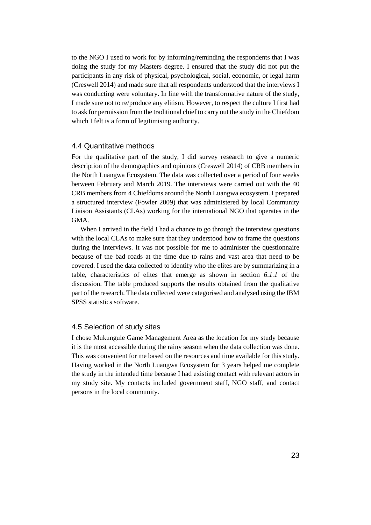to the NGO I used to work for by informing/reminding the respondents that I was doing the study for my Masters degree. I ensured that the study did not put the participants in any risk of physical, psychological, social, economic, or legal harm (Creswell 2014) and made sure that all respondents understood that the interviews I was conducting were voluntary. In line with the transformative nature of the study, I made sure not to re/produce any elitism. However, to respect the culture I first had to ask for permission from the traditional chief to carry out the study in the Chiefdom which I felt is a form of legitimising authority.

#### <span id="page-32-0"></span>4.4 Quantitative methods

For the qualitative part of the study, I did survey research to give a numeric description of the demographics and opinions (Creswell 2014) of CRB members in the North Luangwa Ecosystem. The data was collected over a period of four weeks between February and March 2019. The interviews were carried out with the 40 CRB members from 4 Chiefdoms around the North Luangwa ecosystem. I prepared a structured interview (Fowler 2009) that was administered by local Community Liaison Assistants (CLAs) working for the international NGO that operates in the GMA.

When I arrived in the field I had a chance to go through the interview questions with the local CLAs to make sure that they understood how to frame the questions during the interviews. It was not possible for me to administer the questionnaire because of the bad roads at the time due to rains and vast area that need to be covered. I used the data collected to identify who the elites are by summarizing in a table, characteristics of elites that emerge as shown in section *6.1.1* of the discussion. The table produced supports the results obtained from the qualitative part of the research. The data collected were categorised and analysed using the IBM SPSS statistics software.

#### <span id="page-32-1"></span>4.5 Selection of study sites

I chose Mukungule Game Management Area as the location for my study because it is the most accessible during the rainy season when the data collection was done. This was convenient for me based on the resources and time available for this study. Having worked in the North Luangwa Ecosystem for 3 years helped me complete the study in the intended time because I had existing contact with relevant actors in my study site. My contacts included government staff, NGO staff, and contact persons in the local community.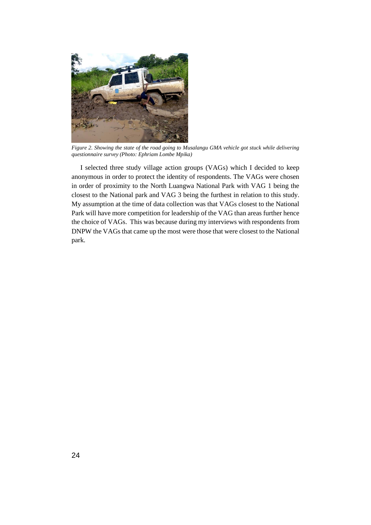

*Figure 2. Showing the state of the road going to Musalangu GMA vehicle got stuck while delivering questionnaire survey (Photo: Ephriam Lombe Mpika)*

<span id="page-33-0"></span>I selected three study village action groups (VAGs) which I decided to keep anonymous in order to protect the identity of respondents. The VAGs were chosen in order of proximity to the North Luangwa National Park with VAG 1 being the closest to the National park and VAG 3 being the furthest in relation to this study. My assumption at the time of data collection was that VAGs closest to the National Park will have more competition for leadership of the VAG than areas further hence the choice of VAGs. This was because during my interviews with respondents from DNPW the VAGs that came up the most were those that were closest to the National park.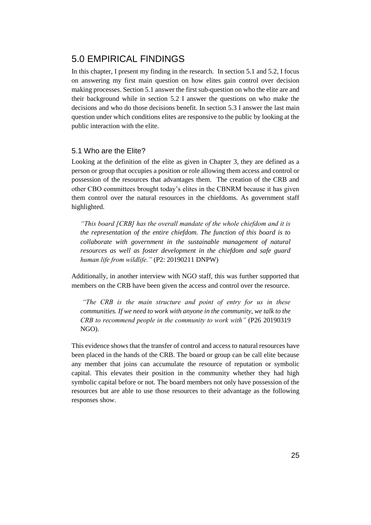## <span id="page-34-0"></span>5.0 EMPIRICAL FINDINGS

In this chapter, I present my finding in the research. In section 5.1 and 5.2, I focus on answering my first main question on how elites gain control over decision making processes. Section 5.1 answer the first sub-question on who the elite are and their background while in section 5.2 I answer the questions on who make the decisions and who do those decisions benefit. In section 5.3 I answer the last main question under which conditions elites are responsive to the public by looking at the public interaction with the elite.

#### <span id="page-34-1"></span>5.1 Who are the Elite?

Looking at the definition of the elite as given in Chapter 3, they are defined as a person or group that occupies a position or role allowing them access and control or possession of the resources that advantages them. The creation of the CRB and other CBO committees brought today's elites in the CBNRM because it has given them control over the natural resources in the chiefdoms. As government staff highlighted.

*"This board [CRB] has the overall mandate of the whole chiefdom and it is the representation of the entire chiefdom. The function of this board is to collaborate with government in the sustainable management of natural resources as well as foster development in the chiefdom and safe guard human life from wildlife."* (P2: 20190211 DNPW)

Additionally, in another interview with NGO staff, this was further supported that members on the CRB have been given the access and control over the resource.

*"The CRB is the main structure and point of entry for us in these communities. If we need to work with anyone in the community, we talk to the CRB to recommend people in the community to work with"* (P26 20190319 NGO).

This evidence shows that the transfer of control and access to natural resources have been placed in the hands of the CRB. The board or group can be call elite because any member that joins can accumulate the resource of reputation or symbolic capital. This elevates their position in the community whether they had high symbolic capital before or not. The board members not only have possession of the resources but are able to use those resources to their advantage as the following responses show.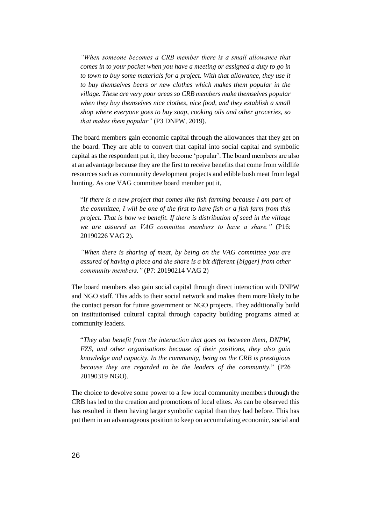*"When someone becomes a CRB member there is a small allowance that comes in to your pocket when you have a meeting or assigned a duty to go in to town to buy some materials for a project. With that allowance, they use it to buy themselves beers or new clothes which makes them popular in the village. These are very poor areas so CRB members make themselves popular when they buy themselves nice clothes, nice food, and they establish a small shop where everyone goes to buy soap, cooking oils and other groceries, so that makes them popular"* (P3 DNPW, 2019).

The board members gain economic capital through the allowances that they get on the board. They are able to convert that capital into social capital and symbolic capital as the respondent put it, they become 'popular'. The board members are also at an advantage because they are the first to receive benefits that come from wildlife resources such as community development projects and edible bush meat from legal hunting. As one VAG committee board member put it,

"I*f there is a new project that comes like fish farming because I am part of the committee, I will be one of the first to have fish or a fish farm from this project. That is how we benefit. If there is distribution of seed in the village we are assured as VAG committee members to have a share."* (P16: 20190226 VAG 2).

*"When there is sharing of meat, by being on the VAG committee you are assured of having a piece and the share is a bit different [bigger] from other community members."* (P7: 20190214 VAG 2)

The board members also gain social capital through direct interaction with DNPW and NGO staff. This adds to their social network and makes them more likely to be the contact person for future government or NGO projects. They additionally build on institutionised cultural capital through capacity building programs aimed at community leaders.

"*They also benefit from the interaction that goes on between them, DNPW, FZS, and other organisations because of their positions, they also gain knowledge and capacity. In the community, being on the CRB is prestigious because they are regarded to be the leaders of the community.*" (P26 20190319 NGO).

The choice to devolve some power to a few local community members through the CRB has led to the creation and promotions of local elites. As can be observed this has resulted in them having larger symbolic capital than they had before. This has put them in an advantageous position to keep on accumulating economic, social and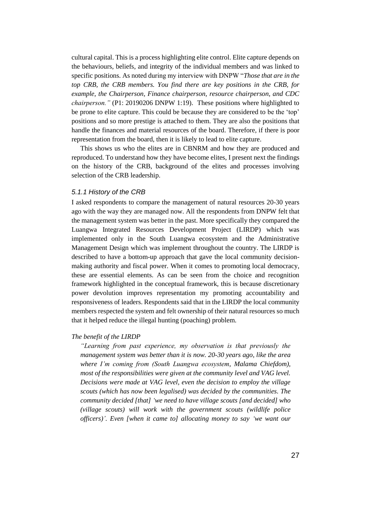cultural capital. This is a process highlighting elite control. Elite capture depends on the behaviours, beliefs, and integrity of the individual members and was linked to specific positions. As noted during my interview with DNPW "*Those that are in the top CRB, the CRB members. You find there are key positions in the CRB, for example, the Chairperson, Finance chairperson, resource chairperson, and CDC chairperson."* (P1: 20190206 DNPW 1:19). These positions where highlighted to be prone to elite capture. This could be because they are considered to be the 'top' positions and so more prestige is attached to them. They are also the positions that handle the finances and material resources of the board. Therefore, if there is poor representation from the board, then it is likely to lead to elite capture.

This shows us who the elites are in CBNRM and how they are produced and reproduced. To understand how they have become elites, I present next the findings on the history of the CRB, background of the elites and processes involving selection of the CRB leadership.

## *5.1.1 History of the CRB*

I asked respondents to compare the management of natural resources 20-30 years ago with the way they are managed now. All the respondents from DNPW felt that the management system was better in the past. More specifically they compared the Luangwa Integrated Resources Development Project (LIRDP) which was implemented only in the South Luangwa ecosystem and the Administrative Management Design which was implement throughout the country. The LIRDP is described to have a bottom-up approach that gave the local community decisionmaking authority and fiscal power. When it comes to promoting local democracy, these are essential elements. As can be seen from the choice and recognition framework highlighted in the conceptual framework, this is because discretionary power devolution improves representation my promoting accountability and responsiveness of leaders. Respondents said that in the LIRDP the local community members respected the system and felt ownership of their natural resources so much that it helped reduce the illegal hunting (poaching) problem.

## *The benefit of the LIRDP*

*"Learning from past experience, my observation is that previously the management system was better than it is now. 20-30 years ago, like the area where I'm coming from (South Luangwa ecosystem, Malama Chiefdom), most of the responsibilities were given at the community level and VAG level. Decisions were made at VAG level, even the decision to employ the village scouts (which has now been legalised) was decided by the communities. The community decided [that] 'we need to have village scouts [and decided] who (village scouts) will work with the government scouts (wildlife police officers)'. Even [when it came to] allocating money to say 'we want our*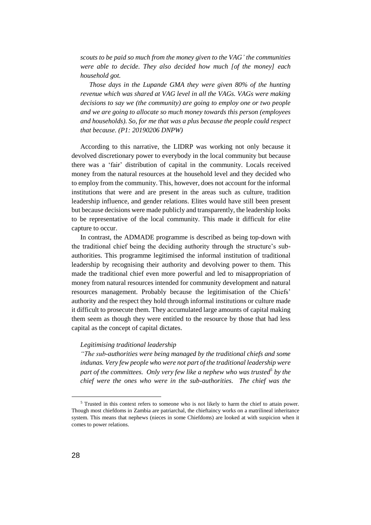*scouts to be paid so much from the money given to the VAG' the communities were able to decide. They also decided how much [of the money] each household got.* 

*Those days in the Lupande GMA they were given 80% of the hunting revenue which was shared at VAG level in all the VAGs. VAGs were making decisions to say we (the community) are going to employ one or two people and we are going to allocate so much money towards this person (employees and households). So, for me that was a plus because the people could respect that because. (P1: 20190206 DNPW)*

According to this narrative, the LIDRP was working not only because it devolved discretionary power to everybody in the local community but because there was a 'fair' distribution of capital in the community. Locals received money from the natural resources at the household level and they decided who to employ from the community. This, however, does not account for the informal institutions that were and are present in the areas such as culture, tradition leadership influence, and gender relations. Elites would have still been present but because decisions were made publicly and transparently, the leadership looks to be representative of the local community. This made it difficult for elite capture to occur.

In contrast, the ADMADE programme is described as being top-down with the traditional chief being the deciding authority through the structure's subauthorities. This programme legitimised the informal institution of traditional leadership by recognising their authority and devolving power to them. This made the traditional chief even more powerful and led to misappropriation of money from natural resources intended for community development and natural resources management. Probably because the legitimisation of the Chiefs' authority and the respect they hold through informal institutions or culture made it difficult to prosecute them. They accumulated large amounts of capital making them seem as though they were entitled to the resource by those that had less capital as the concept of capital dictates.

#### *Legitimising traditional leadership*

*"The sub-authorities were being managed by the traditional chiefs and some indunas. Very few people who were not part of the traditional leadership were part of the committees. Only very few like a nephew who was trusted<sup>5</sup> by the chief were the ones who were in the sub-authorities. The chief was the* 

<sup>5</sup> Trusted in this context refers to someone who is not likely to harm the chief to attain power. Though most chiefdoms in Zambia are patriarchal, the chieftaincy works on a matrilineal inheritance system. This means that nephews (nieces in some Chiefdoms) are looked at with suspicion when it comes to power relations.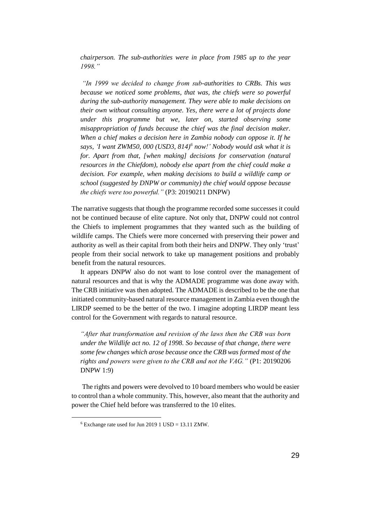*chairperson. The sub-authorities were in place from 1985 up to the year 1998."*

*"In 1999 we decided to change from sub-authorities to CRBs. This was because we noticed some problems, that was, the chiefs were so powerful during the sub-authority management. They were able to make decisions on their own without consulting anyone. Yes, there were a lot of projects done under this programme but we, later on, started observing some misappropriation of funds because the chief was the final decision maker. When a chief makes a decision here in Zambia nobody can oppose it. If he says, 'I want ZWM50, 000 (USD3, 814) 6 now!' Nobody would ask what it is for. Apart from that, [when making] decisions for conservation (natural resources in the Chiefdom), nobody else apart from the chief could make a decision. For example, when making decisions to build a wildlife camp or school (suggested by DNPW or community) the chief would oppose because the chiefs were too powerful."* (P3: 20190211 DNPW)

The narrative suggests that though the programme recorded some successes it could not be continued because of elite capture. Not only that, DNPW could not control the Chiefs to implement programmes that they wanted such as the building of wildlife camps. The Chiefs were more concerned with preserving their power and authority as well as their capital from both their heirs and DNPW. They only 'trust' people from their social network to take up management positions and probably benefit from the natural resources.

It appears DNPW also do not want to lose control over the management of natural resources and that is why the ADMADE programme was done away with. The CRB initiative was then adopted. The ADMADE is described to be the one that initiated community-based natural resource management in Zambia even though the LIRDP seemed to be the better of the two. I imagine adopting LIRDP meant less control for the Government with regards to natural resource.

*"After that transformation and revision of the laws then the CRB was born under the Wildlife act no. 12 of 1998. So because of that change, there were some few changes which arose because once the CRB was formed most of the rights and powers were given to the CRB and not the VAG."* (P1: 20190206 DNPW 1:9)

The rights and powers were devolved to 10 board members who would be easier to control than a whole community. This, however, also meant that the authority and power the Chief held before was transferred to the 10 elites.

<sup>6</sup> Exchange rate used for Jun 2019 1 USD = 13.11 ZMW.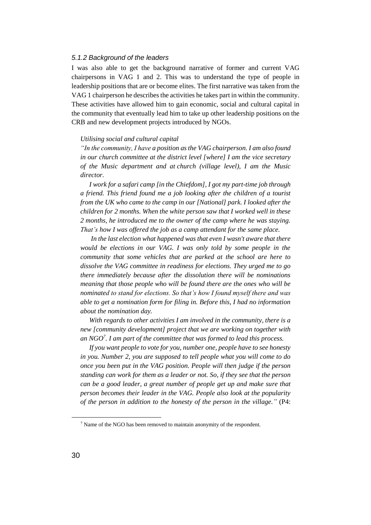## *5.1.2 Background of the leaders*

I was also able to get the background narrative of former and current VAG chairpersons in VAG 1 and 2. This was to understand the type of people in leadership positions that are or become elites. The first narrative was taken from the VAG 1 chairperson he describes the activities he takes part in within the community. These activities have allowed him to gain economic, social and cultural capital in the community that eventually lead him to take up other leadership positions on the CRB and new development projects introduced by NGOs.

## *Utilising social and cultural capital*

*"In the community, I have a position as the VAG chairperson. I am also found in our church committee at the district level [where] I am the vice secretary of the Music department and at church (village level), I am the Music director.*

*I work for a safari camp [in the Chiefdom], I got my part-time job through a friend. This friend found me a job looking after the children of a tourist from the UK who came to the camp in our [National] park. I looked after the children for 2 months. When the white person saw that I worked well in these 2 months, he introduced me to the owner of the camp where he was staying. That's how I was offered the job as a camp attendant for the same place.*

*In the last election what happened was that even I wasn't aware that there would be elections in our VAG. I was only told by some people in the community that some vehicles that are parked at the school are here to dissolve the VAG committee in readiness for elections. They urged me to go there immediately because after the dissolution there will be nominations meaning that those people who will be found there are the ones who will be nominated to stand for elections. So that's how I found myself there and was able to get a nomination form for filing in. Before this, I had no information about the nomination day.* 

*With regards to other activities I am involved in the community, there is a new [community development] project that we are working on together with an NGO<sup>7</sup> . I am part of the committee that was formed to lead this process.*

*If you want people to vote for you, number one, people have to see honesty in you. Number 2, you are supposed to tell people what you will come to do once you been put in the VAG position. People will then judge if the person standing can work for them as a leader or not. So, if they see that the person can be a good leader, a great number of people get up and make sure that person becomes their leader in the VAG. People also look at the popularity of the person in addition to the honesty of the person in the village."* (P4:

<sup>7</sup> Name of the NGO has been removed to maintain anonymity of the respondent.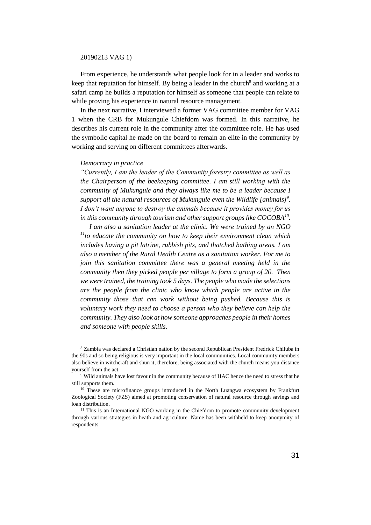#### 20190213 VAG 1)

From experience, he understands what people look for in a leader and works to keep that reputation for himself. By being a leader in the church<sup>8</sup> and working at a safari camp he builds a reputation for himself as someone that people can relate to while proving his experience in natural resource management.

In the next narrative, I interviewed a former VAG committee member for VAG 1 when the CRB for Mukungule Chiefdom was formed. In this narrative, he describes his current role in the community after the committee role. He has used the symbolic capital he made on the board to remain an elite in the community by working and serving on different committees afterwards.

### *Democracy in practice*

 $\overline{a}$ 

*"Currently, I am the leader of the Community forestry committee as well as the Chairperson of the beekeeping committee. I am still working with the community of Mukungule and they always like me to be a leader because I support all the natural resources of Mukungule even the Wildlife [animals]<sup>9</sup> . I don't want anyone to destroy the animals because it provides money for us in this community through tourism and other support groups like COCOBA<sup>10</sup> .*

*I am also a sanitation leader at the clinic. We were trained by an NGO <sup>11</sup>to educate the community on how to keep their environment clean which includes having a pit latrine, rubbish pits, and thatched bathing areas. I am also a member of the Rural Health Centre as a sanitation worker. For me to join this sanitation committee there was a general meeting held in the community then they picked people per village to form a group of 20. Then we were trained, the training took 5 days. The people who made the selections are the people from the clinic who know which people are active in the community those that can work without being pushed. Because this is voluntary work they need to choose a person who they believe can help the community. They also look at how someone approaches people in their homes and someone with people skills.* 

<sup>8</sup> Zambia was declared a Christian nation by the second Republican President Fredrick Chiluba in the 90s and so being religious is very important in the local communities. Local community members also believe in witchcraft and shun it, therefore, being associated with the church means you distance yourself from the act.

<sup>9</sup> Wild animals have lost favour in the community because of HAC hence the need to stress that he still supports them.

<sup>&</sup>lt;sup>10</sup> These are microfinance groups introduced in the North Luangwa ecosystem by Frankfurt Zoological Society (FZS) aimed at promoting conservation of natural resource through savings and loan distribution.

<sup>&</sup>lt;sup>11</sup> This is an International NGO working in the Chiefdom to promote community development through various strategies in heath and agriculture. Name has been withheld to keep anonymity of respondents.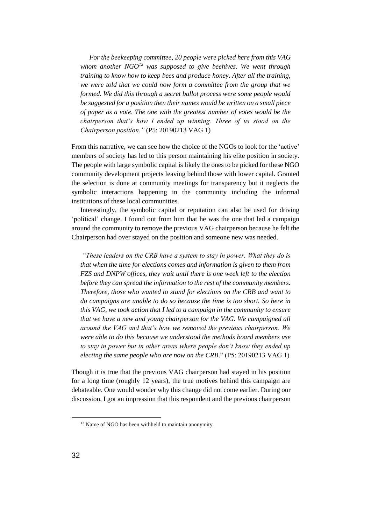*For the beekeeping committee, 20 people were picked here from this VAG whom another NGO<sup>12</sup> was supposed to give beehives. We went through training to know how to keep bees and produce honey. After all the training, we were told that we could now form a committee from the group that we formed. We did this through a secret ballot process were some people would be suggested for a position then their names would be written on a small piece of paper as a vote. The one with the greatest number of votes would be the chairperson that's how I ended up winning. Three of us stood on the Chairperson position."* (P5: 20190213 VAG 1)

From this narrative, we can see how the choice of the NGOs to look for the 'active' members of society has led to this person maintaining his elite position in society. The people with large symbolic capital is likely the ones to be picked for these NGO community development projects leaving behind those with lower capital. Granted the selection is done at community meetings for transparency but it neglects the symbolic interactions happening in the community including the informal institutions of these local communities.

Interestingly, the symbolic capital or reputation can also be used for driving 'political' change. I found out from him that he was the one that led a campaign around the community to remove the previous VAG chairperson because he felt the Chairperson had over stayed on the position and someone new was needed.

*"These leaders on the CRB have a system to stay in power. What they do is that when the time for elections comes and information is given to them from FZS and DNPW offices, they wait until there is one week left to the election before they can spread the information to the rest of the community members. Therefore, those who wanted to stand for elections on the CRB and want to do campaigns are unable to do so because the time is too short. So here in this VAG, we took action that I led to a campaign in the community to ensure that we have a new and young chairperson for the VAG. We campaigned all around the VAG and that's how we removed the previous chairperson. We were able to do this because we understood the methods board members use to stay in power but in other areas where people don't know they ended up electing the same people who are now on the CRB*." (P5: 20190213 VAG 1)

Though it is true that the previous VAG chairperson had stayed in his position for a long time (roughly 12 years), the true motives behind this campaign are debateable. One would wonder why this change did not come earlier. During our discussion, I got an impression that this respondent and the previous chairperson

<sup>&</sup>lt;sup>12</sup> Name of NGO has been withheld to maintain anonymity.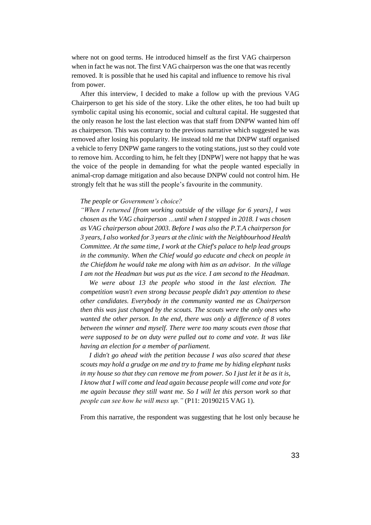where not on good terms. He introduced himself as the first VAG chairperson when in fact he was not. The first VAG chairperson was the one that was recently removed. It is possible that he used his capital and influence to remove his rival from power.

After this interview, I decided to make a follow up with the previous VAG Chairperson to get his side of the story. Like the other elites, he too had built up symbolic capital using his economic, social and cultural capital. He suggested that the only reason he lost the last election was that staff from DNPW wanted him off as chairperson. This was contrary to the previous narrative which suggested he was removed after losing his popularity. He instead told me that DNPW staff organised a vehicle to ferry DNPW game rangers to the voting stations, just so they could vote to remove him. According to him, he felt they [DNPW] were not happy that he was the voice of the people in demanding for what the people wanted especially in animal-crop damage mitigation and also because DNPW could not control him. He strongly felt that he was still the people's favourite in the community.

## *The people or Government's choice?*

*"When I returned [from working outside of the village for 6 years], I was chosen as the VAG chairperson …until when I stopped in 2018. I was chosen as VAG chairperson about 2003. Before I was also the P.T.A chairperson for 3 years, I also worked for 3 years at the clinic with the Neighbourhood Health Committee. At the same time, I work at the Chief's palace to help lead groups in the community. When the Chief would go educate and check on people in the Chiefdom he would take me along with him as an advisor. In the village I am not the Headman but was put as the vice. I am second to the Headman*.

*We were about 13 the people who stood in the last election. The competition wasn't even strong because people didn't pay attention to these other candidates. Everybody in the community wanted me as Chairperson then this was just changed by the scouts. The scouts were the only ones who wanted the other person. In the end, there was only a difference of 8 votes between the winner and myself. There were too many scouts even those that were supposed to be on duty were pulled out to come and vote. It was like having an election for a member of parliament.*

*I didn't go ahead with the petition because I was also scared that these scouts may hold a grudge on me and try to frame me by hiding elephant tusks in my house so that they can remove me from power. So I just let it be as it is, I know that I will come and lead again because people will come and vote for me again because they still want me. So I will let this person work so that people can see how he will mess up."* (P11: 20190215 VAG 1).

From this narrative, the respondent was suggesting that he lost only because he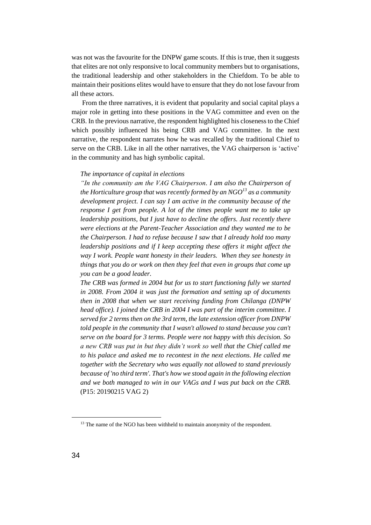was not was the favourite for the DNPW game scouts. If this is true, then it suggests that elites are not only responsive to local community members but to organisations, the traditional leadership and other stakeholders in the Chiefdom. To be able to maintain their positions elites would have to ensure that they do not lose favour from all these actors.

From the three narratives, it is evident that popularity and social capital plays a major role in getting into these positions in the VAG committee and even on the CRB. In the previous narrative, the respondent highlighted his closeness to the Chief which possibly influenced his being CRB and VAG committee. In the next narrative, the respondent narrates how he was recalled by the traditional Chief to serve on the CRB. Like in all the other narratives, the VAG chairperson is 'active' in the community and has high symbolic capital.

#### *The importance of capital in elections*

*"In the community am the VAG Chairperson. I am also the Chairperson of the Horticulture group that was recently formed by an NGO<sup>13</sup> as a community development project. I can say I am active in the community because of the response I get from people. A lot of the times people want me to take up leadership positions, but I just have to decline the offers. Just recently there were elections at the Parent-Teacher Association and they wanted me to be the Chairperson. I had to refuse because I saw that I already hold too many leadership positions and if I keep accepting these offers it might affect the way I work. People want honesty in their leaders. When they see honesty in things that you do or work on then they feel that even in groups that come up you can be a good leader.* 

*The CRB was formed in 2004 but for us to start functioning fully we started in 2008. From 2004 it was just the formation and setting up of documents then in 2008 that when we start receiving funding from Chilanga (DNPW head office). I joined the CRB in 2004 I was part of the interim committee. I served for 2 terms then on the 3rd term, the late extension officer from DNPW told people in the community that I wasn't allowed to stand because you can't serve on the board for 3 terms. People were not happy with this decision. So a new CRB was put in but they didn't work so well that the Chief called me to his palace and asked me to recontest in the next elections. He called me together with the Secretary who was equally not allowed to stand previously because of 'no third term'. That's how we stood again in the following election and we both managed to win in our VAGs and I was put back on the CRB.* (P15: 20190215 VAG 2)

<sup>&</sup>lt;sup>13</sup> The name of the NGO has been withheld to maintain anonymity of the respondent.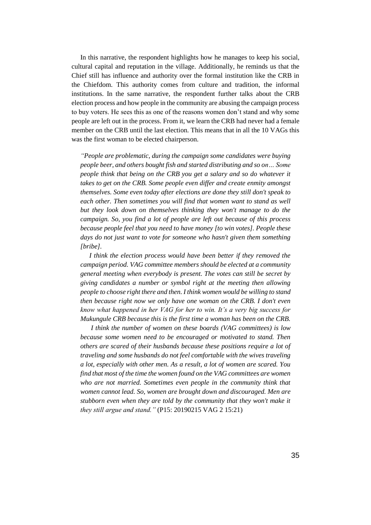In this narrative, the respondent highlights how he manages to keep his social, cultural capital and reputation in the village. Additionally, he reminds us that the Chief still has influence and authority over the formal institution like the CRB in the Chiefdom. This authority comes from culture and tradition, the informal institutions. In the same narrative, the respondent further talks about the CRB election process and how people in the community are abusing the campaign process to buy voters. He sees this as one of the reasons women don't stand and why some people are left out in the process. From it, we learn the CRB had never had a female member on the CRB until the last election. This means that in all the 10 VAGs this was the first woman to be elected chairperson.

*"People are problematic, during the campaign some candidates were buying people beer, and others bought fish and started distributing and so on… Some people think that being on the CRB you get a salary and so do whatever it takes to get on the CRB. Some people even differ and create enmity amongst themselves. Some even today after elections are done they still don't speak to*  each other. Then sometimes you will find that women want to stand as well *but they look down on themselves thinking they won't manage to do the campaign. So, you find a lot of people are left out because of this process because people feel that you need to have money [to win votes]. People these days do not just want to vote for someone who hasn't given them something [bribe].* 

*I think the election process would have been better if they removed the campaign period. VAG committee members should be elected at a community general meeting when everybody is present. The votes can still be secret by giving candidates a number or symbol right at the meeting then allowing people to choose right there and then. I think women would be willing to stand then because right now we only have one woman on the CRB. I don't even know what happened in her VAG for her to win. It's a very big success for Mukungule CRB because this is the first time a woman has been on the CRB.*

*I think the number of women on these boards (VAG committees) is low because some women need to be encouraged or motivated to stand. Then others are scared of their husbands because these positions require a lot of traveling and some husbands do not feel comfortable with the wives traveling a lot, especially with other men. As a result, a lot of women are scared. You find that most of the time the women found on the VAG committees are women*  who are not married. Sometimes even people in the community think that *women cannot lead. So, women are brought down and discouraged. Men are stubborn even when they are told by the community that they won't make it they still argue and stand."* (P15: 20190215 VAG 2 15:21)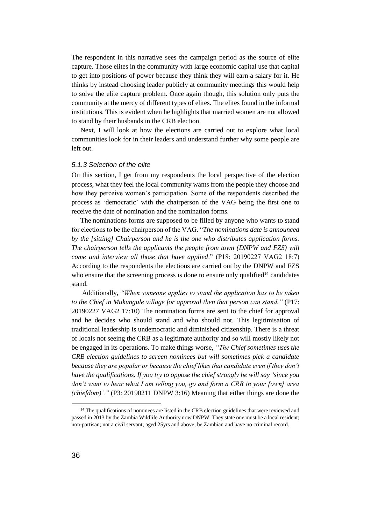The respondent in this narrative sees the campaign period as the source of elite capture. Those elites in the community with large economic capital use that capital to get into positions of power because they think they will earn a salary for it. He thinks by instead choosing leader publicly at community meetings this would help to solve the elite capture problem. Once again though, this solution only puts the community at the mercy of different types of elites. The elites found in the informal institutions. This is evident when he highlights that married women are not allowed to stand by their husbands in the CRB election.

Next, I will look at how the elections are carried out to explore what local communities look for in their leaders and understand further why some people are left out.

## *5.1.3 Selection of the elite*

On this section, I get from my respondents the local perspective of the election process, what they feel the local community wants from the people they choose and how they perceive women's participation. Some of the respondents described the process as 'democratic' with the chairperson of the VAG being the first one to receive the date of nomination and the nomination forms.

The nominations forms are supposed to be filled by anyone who wants to stand for elections to be the chairperson of the VAG. "*The nominations date is announced by the [sitting] Chairperson and he is the one who distributes application forms. The chairperson tells the applicants the people from town (DNPW and FZS) will come and interview all those that have applied*." (P18: 20190227 VAG2 18:7) According to the respondents the elections are carried out by the DNPW and FZS who ensure that the screening process is done to ensure only qualified<sup>14</sup> candidates stand.

Additionally, *"When someone applies to stand the application has to be taken to the Chief in Mukungule village for approval then that person can stand."* (P17: 20190227 VAG2 17:10) The nomination forms are sent to the chief for approval and he decides who should stand and who should not. This legitimisation of traditional leadership is undemocratic and diminished citizenship. There is a threat of locals not seeing the CRB as a legitimate authority and so will mostly likely not be engaged in its operations. To make things worse, *"The Chief sometimes uses the CRB election guidelines to screen nominees but will sometimes pick a candidate because they are popular or because the chief likes that candidate even if they don't have the qualifications. If you try to oppose the chief strongly he will say 'since you don't want to hear what I am telling you, go and form a CRB in your [own] area (chiefdom)'."* (P3: 20190211 DNPW 3:16) Meaning that either things are done the

<sup>&</sup>lt;sup>14</sup> The qualifications of nominees are listed in the CRB election guidelines that were reviewed and passed in 2013 by the Zambia Wildlife Authority now DNPW. They state one must be a local resident; non-partisan; not a civil servant; aged 25yrs and above, be Zambian and have no criminal record.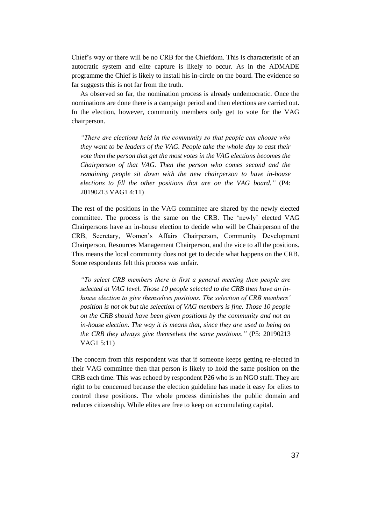Chief's way or there will be no CRB for the Chiefdom. This is characteristic of an autocratic system and elite capture is likely to occur. As in the ADMADE programme the Chief is likely to install his in-circle on the board. The evidence so far suggests this is not far from the truth.

As observed so far, the nomination process is already undemocratic. Once the nominations are done there is a campaign period and then elections are carried out. In the election, however, community members only get to vote for the VAG chairperson.

*"There are elections held in the community so that people can choose who they want to be leaders of the VAG. People take the whole day to cast their vote then the person that get the most votes in the VAG elections becomes the Chairperson of that VAG. Then the person who comes second and the remaining people sit down with the new chairperson to have in-house elections to fill the other positions that are on the VAG board."* (P4: 20190213 VAG1 4:11)

The rest of the positions in the VAG committee are shared by the newly elected committee. The process is the same on the CRB. The 'newly' elected VAG Chairpersons have an in-house election to decide who will be Chairperson of the CRB, Secretary, Women's Affairs Chairperson, Community Development Chairperson, Resources Management Chairperson, and the vice to all the positions. This means the local community does not get to decide what happens on the CRB. Some respondents felt this process was unfair.

*"To select CRB members there is first a general meeting then people are selected at VAG level. Those 10 people selected to the CRB then have an inhouse election to give themselves positions. The selection of CRB members' position is not ok but the selection of VAG members is fine. Those 10 people on the CRB should have been given positions by the community and not an in-house election. The way it is means that, since they are used to being on the CRB they always give themselves the same positions."* (P5: 20190213 VAG1 5:11)

The concern from this respondent was that if someone keeps getting re-elected in their VAG committee then that person is likely to hold the same position on the CRB each time. This was echoed by respondent P26 who is an NGO staff. They are right to be concerned because the election guideline has made it easy for elites to control these positions. The whole process diminishes the public domain and reduces citizenship. While elites are free to keep on accumulating capital.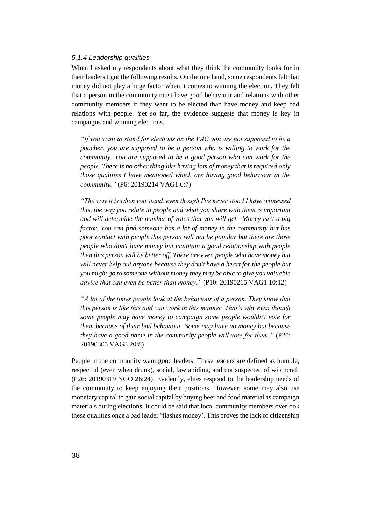# *5.1.4 Leadership qualities*

When I asked my respondents about what they think the community looks for in their leaders I got the following results. On the one hand, some respondents felt that money did not play a huge factor when it comes to winning the election. They felt that a person in the community must have good behaviour and relations with other community members if they want to be elected than have money and keep bad relations with people. Yet so far, the evidence suggests that money is key in campaigns and winning elections.

*"If you want to stand for elections on the VAG you are not supposed to be a poacher, you are supposed to be a person who is willing to work for the community. You are supposed to be a good person who can work for the people. There is no other thing like having lots of money that is required only those qualities I have mentioned which are having good behaviour in the community."* (P6: 20190214 VAG1 6:7)

*"The way it is when you stand, even though I've never stood I have witnessed this, the way you relate to people and what you share with them is important and will determine the number of votes that you will get. Money isn't a big factor. You can find someone has a lot of money in the community but has poor contact with people this person will not be popular but there are those people who don't have money but maintain a good relationship with people then this person will be better off. There are even people who have money but will never help out anyone because they don't have a heart for the people but you might go to someone without money they may be able to give you valuable advice that can even be better than money."* (P10: 20190215 VAG1 10:12)

*"A lot of the times people look at the behaviour of a person. They know that this person is like this and can work in this manner. That's why even though some people may have money to campaign some people wouldn't vote for them because of their bad behaviour. Some may have no money but because they have a good name in the community people will vote for them."* (P20: 20190305 VAG3 20:8)

People in the community want good leaders. These leaders are defined as humble, respectful (even when drunk), social, law abiding, and not suspected of witchcraft (P26: 20190319 NGO 26:24). Evidently, elites respond to the leadership needs of the community to keep enjoying their positions. However, some may also use monetary capital to gain social capital by buying beer and food material as campaign materials during elections. It could be said that local community members overlook these qualities once a bad leader 'flashes money'. This proves the lack of citizenship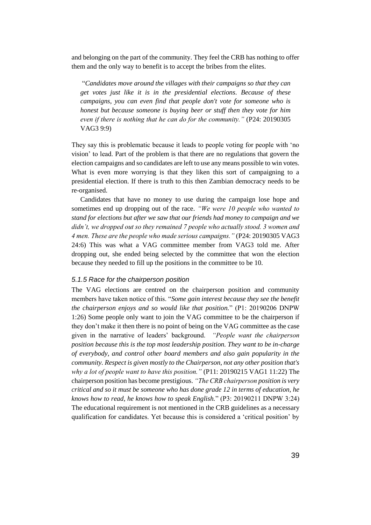and belonging on the part of the community. They feel the CRB has nothing to offer them and the only way to benefit is to accept the bribes from the elites.

"*Candidates move around the villages with their campaigns so that they can get votes just like it is in the presidential elections. Because of these campaigns, you can even find that people don't vote for someone who is honest but because someone is buying beer or stuff then they vote for him even if there is nothing that he can do for the community."* (P24: 20190305 VAG3 9:9)

They say this is problematic because it leads to people voting for people with 'no vision' to lead. Part of the problem is that there are no regulations that govern the election campaigns and so candidates are left to use any means possible to win votes. What is even more worrying is that they liken this sort of campaigning to a presidential election. If there is truth to this then Zambian democracy needs to be re-organised.

Candidates that have no money to use during the campaign lose hope and sometimes end up dropping out of the race. *"We were 10 people who wanted to stand for elections but after we saw that our friends had money to campaign and we didn't, we dropped out so they remained 7 people who actually stood. 3 women and 4 men. These are the people who made serious campaigns."* (P24: 20190305 VAG3 24:6) This was what a VAG committee member from VAG3 told me. After dropping out, she ended being selected by the committee that won the election because they needed to fill up the positions in the committee to be 10.

## *5.1.5 Race for the chairperson position*

The VAG elections are centred on the chairperson position and community members have taken notice of this. "*Some gain interest because they see the benefit the chairperson enjoys and so would like that position.*" (P1: 20190206 DNPW 1:26) Some people only want to join the VAG committee to be the chairperson if they don't make it then there is no point of being on the VAG committee as the case given in the narrative of leaders' background. *"People want the chairperson position because this is the top most leadership position. They want to be in-charge of everybody, and control other board members and also gain popularity in the community. Respect is given mostly to the Chairperson, not any other position that's why a lot of people want to have this position."* (P11: 20190215 VAG1 11:22) The chairperson position has become prestigious. *"The CRB chairperson position is very critical and so it must be someone who has done grade 12 in terms of education, he knows how to read, he knows how to speak English.*" (P3: 20190211 DNPW 3:24) The educational requirement is not mentioned in the CRB guidelines as a necessary qualification for candidates. Yet because this is considered a 'critical position' by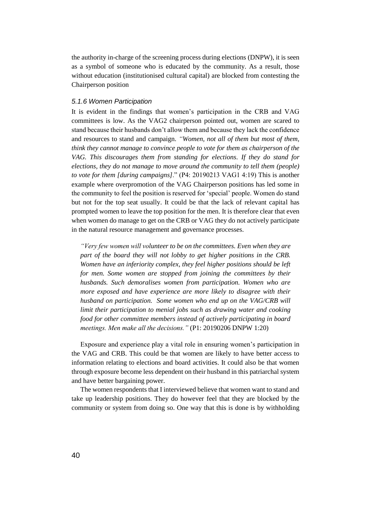the authority in-charge of the screening process during elections (DNPW), it is seen as a symbol of someone who is educated by the community. As a result, those without education (institutionised cultural capital) are blocked from contesting the Chairperson position

## *5.1.6 Women Participation*

It is evident in the findings that women's participation in the CRB and VAG committees is low. As the VAG2 chairperson pointed out, women are scared to stand because their husbands don't allow them and because they lack the confidence and resources to stand and campaign. *"Women, not all of them but most of them, think they cannot manage to convince people to vote for them as chairperson of the VAG. This discourages them from standing for elections. If they do stand for elections, they do not manage to move around the community to tell them (people) to vote for them [during campaigns]*." (P4: 20190213 VAG1 4:19) This is another example where overpromotion of the VAG Chairperson positions has led some in the community to feel the position is reserved for 'special' people. Women do stand but not for the top seat usually. It could be that the lack of relevant capital has prompted women to leave the top position for the men. It is therefore clear that even when women do manage to get on the CRB or VAG they do not actively participate in the natural resource management and governance processes.

*"Very few women will volunteer to be on the committees. Even when they are part of the board they will not lobby to get higher positions in the CRB. Women have an inferiority complex, they feel higher positions should be left for men. Some women are stopped from joining the committees by their husbands. Such demoralises women from participation. Women who are more exposed and have experience are more likely to disagree with their husband on participation. Some women who end up on the VAG/CRB will limit their participation to menial jobs such as drawing water and cooking food for other committee members instead of actively participating in board meetings. Men make all the decisions."* (P1: 20190206 DNPW 1:20)

Exposure and experience play a vital role in ensuring women's participation in the VAG and CRB. This could be that women are likely to have better access to information relating to elections and board activities. It could also be that women through exposure become less dependent on their husband in this patriarchal system and have better bargaining power.

The women respondents that I interviewed believe that women want to stand and take up leadership positions. They do however feel that they are blocked by the community or system from doing so. One way that this is done is by withholding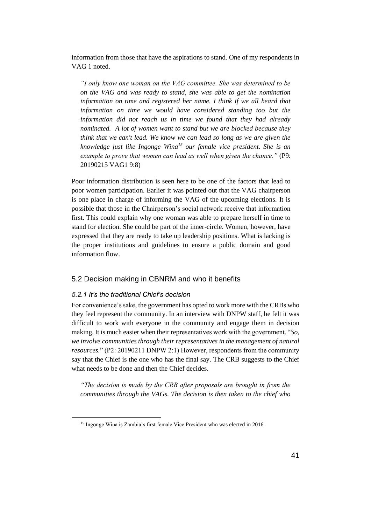information from those that have the aspirations to stand. One of my respondents in VAG 1 noted.

*"I only know one woman on the VAG committee. She was determined to be on the VAG and was ready to stand, she was able to get the nomination information on time and registered her name. I think if we all heard that information on time we would have considered standing too but the information did not reach us in time we found that they had already nominated. A lot of women want to stand but we are blocked because they think that we can't lead. We know we can lead so long as we are given the knowledge just like Ingonge Wina<sup>15</sup> our female vice president. She is an example to prove that women can lead as well when given the chance."* (P9: 20190215 VAG1 9:8)

Poor information distribution is seen here to be one of the factors that lead to poor women participation. Earlier it was pointed out that the VAG chairperson is one place in charge of informing the VAG of the upcoming elections. It is possible that those in the Chairperson's social network receive that information first. This could explain why one woman was able to prepare herself in time to stand for election. She could be part of the inner-circle. Women, however, have expressed that they are ready to take up leadership positions. What is lacking is the proper institutions and guidelines to ensure a public domain and good information flow.

# 5.2 Decision making in CBNRM and who it benefits

# *5.2.1 It's the traditional Chief's decision*

 $\overline{a}$ 

For convenience's sake, the government has opted to work more with the CRBs who they feel represent the community. In an interview with DNPW staff, he felt it was difficult to work with everyone in the community and engage them in decision making. It is much easier when their representatives work with the government. "*So, we involve communities through their representatives in the management of natural resources.*" (P2: 20190211 DNPW 2:1) However, respondents from the community say that the Chief is the one who has the final say. The CRB suggests to the Chief what needs to be done and then the Chief decides.

*"The decision is made by the CRB after proposals are brought in from the communities through the VAGs. The decision is then taken to the chief who* 

<sup>&</sup>lt;sup>15</sup> Ingonge Wina is Zambia's first female Vice President who was elected in 2016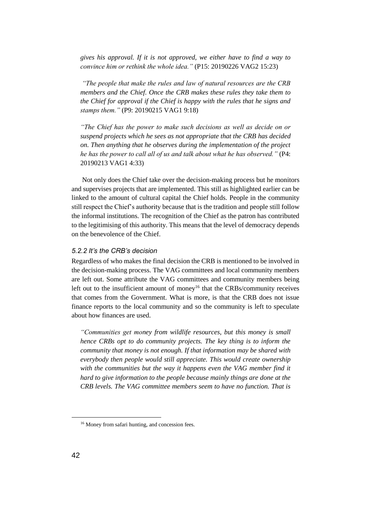*gives his approval. If it is not approved, we either have to find a way to convince him or rethink the whole idea."* (P15: 20190226 VAG2 15:23)

*"The people that make the rules and law of natural resources are the CRB members and the Chief. Once the CRB makes these rules they take them to the Chief for approval if the Chief is happy with the rules that he signs and stamps them."* (P9: 20190215 VAG1 9:18)

*"The Chief has the power to make such decisions as well as decide on or suspend projects which he sees as not appropriate that the CRB has decided on. Then anything that he observes during the implementation of the project he has the power to call all of us and talk about what he has observed."* (P4: 20190213 VAG1 4:33)

Not only does the Chief take over the decision-making process but he monitors and supervises projects that are implemented. This still as highlighted earlier can be linked to the amount of cultural capital the Chief holds. People in the community still respect the Chief's authority because that is the tradition and people still follow the informal institutions. The recognition of the Chief as the patron has contributed to the legitimising of this authority. This means that the level of democracy depends on the benevolence of the Chief.

## *5.2.2 It's the CRB's decision*

Regardless of who makes the final decision the CRB is mentioned to be involved in the decision-making process. The VAG committees and local community members are left out. Some attribute the VAG committees and community members being left out to the insufficient amount of money<sup>16</sup> that the CRBs/community receives that comes from the Government. What is more, is that the CRB does not issue finance reports to the local community and so the community is left to speculate about how finances are used.

*"Communities get money from wildlife resources, but this money is small hence CRBs opt to do community projects. The key thing is to inform the community that money is not enough. If that information may be shared with everybody then people would still appreciate. This would create ownership*  with the communities but the way it happens even the VAG member find it *hard to give information to the people because mainly things are done at the CRB levels. The VAG committee members seem to have no function. That is* 

<sup>16</sup> Money from safari hunting, and concession fees.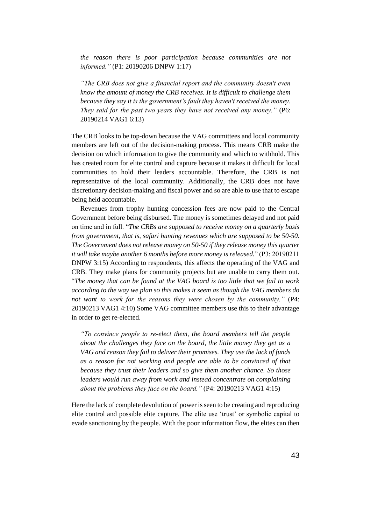*the reason there is poor participation because communities are not informed."* (P1: 20190206 DNPW 1:17)

*"The CRB does not give a financial report and the community doesn't even know the amount of money the CRB receives. It is difficult to challenge them because they say it is the government's fault they haven't received the money. They said for the past two years they have not received any money."* (P6: 20190214 VAG1 6:13)

The CRB looks to be top-down because the VAG committees and local community members are left out of the decision-making process. This means CRB make the decision on which information to give the community and which to withhold. This has created room for elite control and capture because it makes it difficult for local communities to hold their leaders accountable. Therefore, the CRB is not representative of the local community. Additionally, the CRB does not have discretionary decision-making and fiscal power and so are able to use that to escape being held accountable.

Revenues from trophy hunting concession fees are now paid to the Central Government before being disbursed. The money is sometimes delayed and not paid on time and in full. "*The CRBs are supposed to receive money on a quarterly basis from government, that is, safari hunting revenues which are supposed to be 50-50. The Government does not release money on 50-50 if they release money this quarter it will take maybe another 6 months before more money is released.*" (P3: 20190211 DNPW 3:15) According to respondents, this affects the operating of the VAG and CRB. They make plans for community projects but are unable to carry them out. "*The money that can be found at the VAG board is too little that we fail to work according to the way we plan so this makes it seem as though the VAG members do not want to work for the reasons they were chosen by the community."* (P4: 20190213 VAG1 4:10) Some VAG committee members use this to their advantage in order to get re-elected.

*"To convince people to re-elect them, the board members tell the people about the challenges they face on the board, the little money they get as a VAG and reason they fail to deliver their promises. They use the lack of funds as a reason for not working and people are able to be convinced of that because they trust their leaders and so give them another chance. So those leaders would run away from work and instead concentrate on complaining about the problems they face on the board."* (P4: 20190213 VAG1 4:15)

Here the lack of complete devolution of power is seen to be creating and reproducing elite control and possible elite capture. The elite use 'trust' or symbolic capital to evade sanctioning by the people. With the poor information flow, the elites can then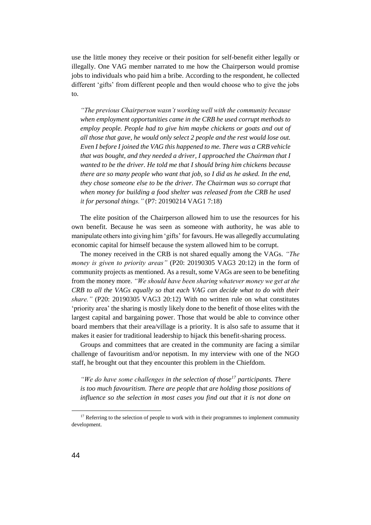use the little money they receive or their position for self-benefit either legally or illegally. One VAG member narrated to me how the Chairperson would promise jobs to individuals who paid him a bribe. According to the respondent, he collected different 'gifts' from different people and then would choose who to give the jobs to.

*"The previous Chairperson wasn't working well with the community because when employment opportunities came in the CRB he used corrupt methods to employ people. People had to give him maybe chickens or goats and out of all those that gave, he would only select 2 people and the rest would lose out. Even I before I joined the VAG this happened to me. There was a CRB vehicle that was bought, and they needed a driver, I approached the Chairman that I wanted to be the driver. He told me that I should bring him chickens because there are so many people who want that job, so I did as he asked. In the end, they chose someone else to be the driver. The Chairman was so corrupt that when money for building a food shelter was released from the CRB he used it for personal things."* (P7: 20190214 VAG1 7:18)

The elite position of the Chairperson allowed him to use the resources for his own benefit. Because he was seen as someone with authority, he was able to manipulate others into giving him 'gifts' for favours. He was allegedly accumulating economic capital for himself because the system allowed him to be corrupt.

The money received in the CRB is not shared equally among the VAGs. *"The money is given to priority areas"* (P20: 20190305 VAG3 20:12) in the form of community projects as mentioned. As a result, some VAGs are seen to be benefiting from the money more. *"We should have been sharing whatever money we get at the CRB to all the VAGs equally so that each VAG can decide what to do with their share."* (P20: 20190305 VAG3 20:12) With no written rule on what constitutes 'priority area' the sharing is mostly likely done to the benefit of those elites with the largest capital and bargaining power. Those that would be able to convince other board members that their area/village is a priority. It is also safe to assume that it makes it easier for traditional leadership to hijack this benefit-sharing process.

Groups and committees that are created in the community are facing a similar challenge of favouritism and/or nepotism. In my interview with one of the NGO staff, he brought out that they encounter this problem in the Chiefdom.

*"We do have some challenges in the selection of those<sup>17</sup> participants. There is too much favouritism. There are people that are holding those positions of influence so the selection in most cases you find out that it is not done on* 

<sup>&</sup>lt;sup>17</sup> Referring to the selection of people to work with in their programmes to implement community development.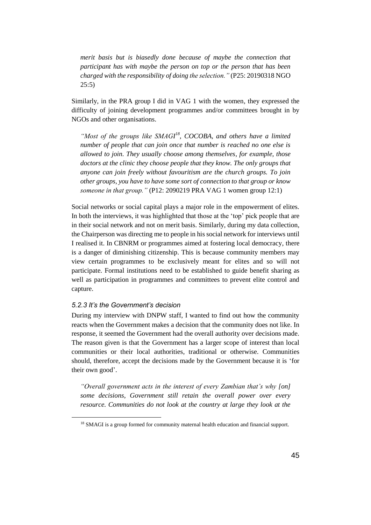*merit basis but is biasedly done because of maybe the connection that participant has with maybe the person on top or the person that has been charged with the responsibility of doing the selection."* (P25: 20190318 NGO 25:5)

Similarly, in the PRA group I did in VAG 1 with the women, they expressed the difficulty of joining development programmes and/or committees brought in by NGOs and other organisations.

"Most of the groups like SMAGI<sup>18</sup>, COCOBA, and others have a limited *number of people that can join once that number is reached no one else is allowed to join. They usually choose among themselves, for example, those doctors at the clinic they choose people that they know. The only groups that anyone can join freely without favouritism are the church groups. To join other groups, you have to have some sort of connection to that group or know someone in that group."* (P12: 2090219 PRA VAG 1 women group 12:1)

Social networks or social capital plays a major role in the empowerment of elites. In both the interviews, it was highlighted that those at the 'top' pick people that are in their social network and not on merit basis. Similarly, during my data collection, the Chairperson was directing me to people in his social network for interviews until I realised it. In CBNRM or programmes aimed at fostering local democracy, there is a danger of diminishing citizenship. This is because community members may view certain programmes to be exclusively meant for elites and so will not participate. Formal institutions need to be established to guide benefit sharing as well as participation in programmes and committees to prevent elite control and capture.

# *5.2.3 It's the Government's decision*

 $\overline{a}$ 

During my interview with DNPW staff, I wanted to find out how the community reacts when the Government makes a decision that the community does not like. In response, it seemed the Government had the overall authority over decisions made. The reason given is that the Government has a larger scope of interest than local communities or their local authorities, traditional or otherwise. Communities should, therefore, accept the decisions made by the Government because it is 'for their own good'.

*"Overall government acts in the interest of every Zambian that's why [on] some decisions, Government still retain the overall power over every resource. Communities do not look at the country at large they look at the* 

<sup>&</sup>lt;sup>18</sup> SMAGI is a group formed for community maternal health education and financial support.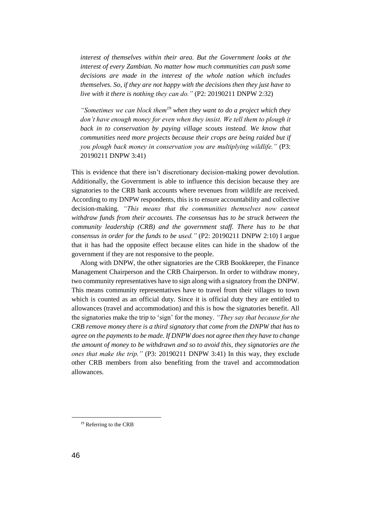*interest of themselves within their area. But the Government looks at the interest of every Zambian. No matter how much communities can push some decisions are made in the interest of the whole nation which includes themselves. So, if they are not happy with the decisions then they just have to live with it there is nothing they can do."* (P2: 20190211 DNPW 2:32)

*"Sometimes we can block them<sup>19</sup> when they want to do a project which they*  don't have enough money for even when they insist. We tell them to plough it back in to conservation by paying village scouts instead. We know that *communities need more projects because their crops are being raided but if you plough back money in conservation you are multiplying wildlife."* (P3: 20190211 DNPW 3:41)

This is evidence that there isn't discretionary decision-making power devolution. Additionally, the Government is able to influence this decision because they are signatories to the CRB bank accounts where revenues from wildlife are received. According to my DNPW respondents, this is to ensure accountability and collective decision-making. *"This means that the communities themselves now cannot withdraw funds from their accounts. The consensus has to be struck between the community leadership (CRB) and the government staff. There has to be that consensus in order for the funds to be used."* (P2: 20190211 DNPW 2:10) I argue that it has had the opposite effect because elites can hide in the shadow of the government if they are not responsive to the people.

Along with DNPW, the other signatories are the CRB Bookkeeper, the Finance Management Chairperson and the CRB Chairperson. In order to withdraw money, two community representatives have to sign along with a signatory from the DNPW. This means community representatives have to travel from their villages to town which is counted as an official duty. Since it is official duty they are entitled to allowances (travel and accommodation) and this is how the signatories benefit. All the signatories make the trip to 'sign' for the money. *"They say that because for the CRB remove money there is a third signatory that come from the DNPW that has to agree on the payments to be made. If DNPW does not agree then they have to change the amount of money to be withdrawn and so to avoid this, they signatories are the ones that make the trip."* (P3: 20190211 DNPW 3:41) In this way, they exclude other CRB members from also benefiting from the travel and accommodation allowances.

<sup>&</sup>lt;sup>19</sup> Referring to the CRB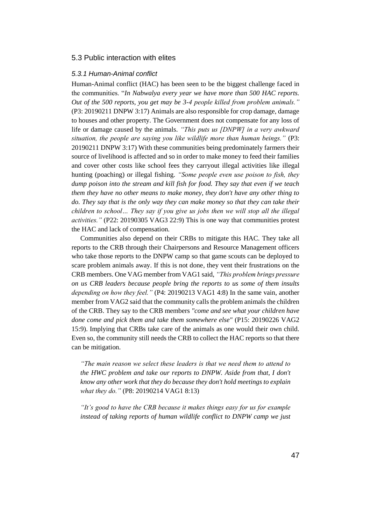# 5.3 Public interaction with elites

## *5.3.1 Human-Animal conflict*

Human-Animal conflict (HAC) has been seen to be the biggest challenge faced in the communities. "*In Nabwalya every year we have more than 500 HAC reports. Out of the 500 reports, you get may be 3-4 people killed from problem animals."*  (P3: 20190211 DNPW 3:17) Animals are also responsible for crop damage, damage to houses and other property. The Government does not compensate for any loss of life or damage caused by the animals. *"This puts us [DNPW] in a very awkward situation, the people are saying you like wildlife more than human beings."* (P3: 20190211 DNPW 3:17) With these communities being predominately farmers their source of livelihood is affected and so in order to make money to feed their families and cover other costs like school fees they carryout illegal activities like illegal hunting (poaching) or illegal fishing. *"Some people even use poison to fish, they dump poison into the stream and kill fish for food. They say that even if we teach them they have no other means to make money, they don't have any other thing to do. They say that is the only way they can make money so that they can take their children to school… They say if you give us jobs then we will stop all the illegal activities."* (P22: 20190305 VAG3 22:9) This is one way that communities protest the HAC and lack of compensation.

Communities also depend on their CRBs to mitigate this HAC. They take all reports to the CRB through their Chairpersons and Resource Management officers who take those reports to the DNPW camp so that game scouts can be deployed to scare problem animals away. If this is not done, they vent their frustrations on the CRB members. One VAG member from VAG1 said, *"This problem brings pressure on us CRB leaders because people bring the reports to us some of them insults depending on how they feel."* (P4: 20190213 VAG1 4:8) In the same vain, another member from VAG2 said that the community calls the problem animals the children of the CRB. They say to the CRB members *"come and see what your children have done come and pick them and take them somewhere else"* (P15: 20190226 VAG2 15:9). Implying that CRBs take care of the animals as one would their own child. Even so, the community still needs the CRB to collect the HAC reports so that there can be mitigation.

*"The main reason we select these leaders is that we need them to attend to the HWC problem and take our reports to DNPW. Aside from that, I don't know any other work that they do because they don't hold meetings to explain what they do."* (P8: 20190214 VAG1 8:13)

*"It's good to have the CRB because it makes things easy for us for example instead of taking reports of human wildlife conflict to DNPW camp we just*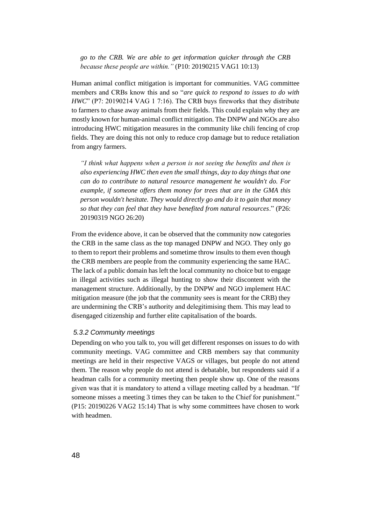*go to the CRB. We are able to get information quicker through the CRB because these people are within."* (P10: 20190215 VAG1 10:13)

Human animal conflict mitigation is important for communities. VAG committee members and CRBs know this and so "*are quick to respond to issues to do with HWC*" (P7: 20190214 VAG 1 7:16). The CRB buys fireworks that they distribute to farmers to chase away animals from their fields. This could explain why they are mostly known for human-animal conflict mitigation. The DNPW and NGOs are also introducing HWC mitigation measures in the community like chili fencing of crop fields. They are doing this not only to reduce crop damage but to reduce retaliation from angry farmers.

*"I think what happens when a person is not seeing the benefits and then is also experiencing HWC then even the small things, day to day things that one can do to contribute to natural resource management he wouldn't do. For example, if someone offers them money for trees that are in the GMA this person wouldn't hesitate. They would directly go and do it to gain that money so that they can feel that they have benefited from natural resources*." (P26: 20190319 NGO 26:20)

From the evidence above, it can be observed that the community now categories the CRB in the same class as the top managed DNPW and NGO. They only go to them to report their problems and sometime throw insults to them even though the CRB members are people from the community experiencing the same HAC. The lack of a public domain has left the local community no choice but to engage in illegal activities such as illegal hunting to show their discontent with the management structure. Additionally, by the DNPW and NGO implement HAC mitigation measure (the job that the community sees is meant for the CRB) they are undermining the CRB's authority and delegitimising them. This may lead to disengaged citizenship and further elite capitalisation of the boards.

# *5.3.2 Community meetings*

Depending on who you talk to, you will get different responses on issues to do with community meetings. VAG committee and CRB members say that community meetings are held in their respective VAGS or villages, but people do not attend them. The reason why people do not attend is debatable, but respondents said if a headman calls for a community meeting then people show up. One of the reasons given was that it is mandatory to attend a village meeting called by a headman. "If someone misses a meeting 3 times they can be taken to the Chief for punishment." (P15: 20190226 VAG2 15:14) That is why some committees have chosen to work with headmen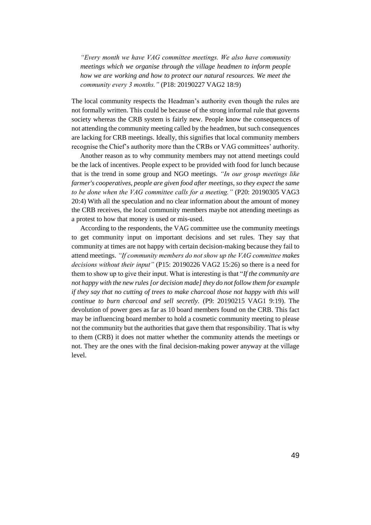*"Every month we have VAG committee meetings. We also have community meetings which we organise through the village headmen to inform people how we are working and how to protect our natural resources. We meet the community every 3 months."* (P18: 20190227 VAG2 18:9)

The local community respects the Headman's authority even though the rules are not formally written. This could be because of the strong informal rule that governs society whereas the CRB system is fairly new. People know the consequences of not attending the community meeting called by the headmen, but such consequences are lacking for CRB meetings. Ideally, this signifies that local community members recognise the Chief's authority more than the CRBs or VAG committees' authority.

Another reason as to why community members may not attend meetings could be the lack of incentives. People expect to be provided with food for lunch because that is the trend in some group and NGO meetings. *"In our group meetings like farmer's cooperatives, people are given food after meetings, so they expect the same to be done when the VAG committee calls for a meeting."* (P20: 20190305 VAG3 20:4) With all the speculation and no clear information about the amount of money the CRB receives, the local community members maybe not attending meetings as a protest to how that money is used or mis-used.

According to the respondents, the VAG committee use the community meetings to get community input on important decisions and set rules. They say that community at times are not happy with certain decision-making because they fail to attend meetings. *"If community members do not show up the VAG committee makes decisions without their input"* (P15: 20190226 VAG2 15:26) so there is a need for them to show up to give their input. What is interesting is that "*If the community are not happy with the new rules [or decision made] they do not follow them for example if they say that no cutting of trees to make charcoal those not happy with this will continue to burn charcoal and sell secretly.* (P9: 20190215 VAG1 9:19). The devolution of power goes as far as 10 board members found on the CRB. This fact may be influencing board member to hold a cosmetic community meeting to please not the community but the authorities that gave them that responsibility. That is why to them (CRB) it does not matter whether the community attends the meetings or not. They are the ones with the final decision-making power anyway at the village level.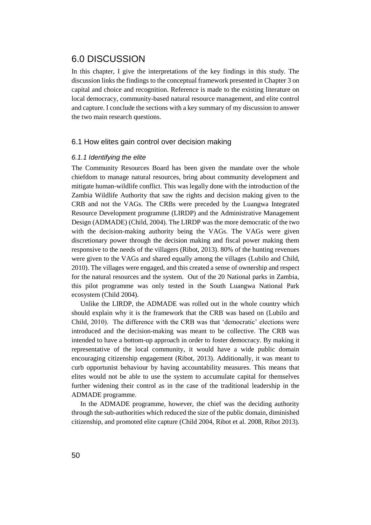# 6.0 DISCUSSION

In this chapter, I give the interpretations of the key findings in this study. The discussion links the findings to the conceptual framework presented in Chapter 3 on capital and choice and recognition. Reference is made to the existing literature on local democracy, community-based natural resource management, and elite control and capture. I conclude the sections with a key summary of my discussion to answer the two main research questions.

# 6.1 How elites gain control over decision making

## *6.1.1 Identifying the elite*

The Community Resources Board has been given the mandate over the whole chiefdom to manage natural resources, bring about community development and mitigate human-wildlife conflict. This was legally done with the introduction of the Zambia Wildlife Authority that saw the rights and decision making given to the CRB and not the VAGs. The CRBs were preceded by the Luangwa Integrated Resource Development programme (LIRDP) and the Administrative Management Design (ADMADE) (Child, 2004). The LIRDP was the more democratic of the two with the decision-making authority being the VAGs. The VAGs were given discretionary power through the decision making and fiscal power making them responsive to the needs of the villagers (Ribot, 2013). 80% of the hunting revenues were given to the VAGs and shared equally among the villages (Lubilo and Child, 2010). The villages were engaged, and this created a sense of ownership and respect for the natural resources and the system. Out of the 20 National parks in Zambia, this pilot programme was only tested in the South Luangwa National Park ecosystem (Child 2004).

Unlike the LIRDP, the ADMADE was rolled out in the whole country which should explain why it is the framework that the CRB was based on (Lubilo and Child, 2010). The difference with the CRB was that 'democratic' elections were introduced and the decision-making was meant to be collective. The CRB was intended to have a bottom-up approach in order to foster democracy. By making it representative of the local community, it would have a wide public domain encouraging citizenship engagement (Ribot, 2013). Additionally, it was meant to curb opportunist behaviour by having accountability measures. This means that elites would not be able to use the system to accumulate capital for themselves further widening their control as in the case of the traditional leadership in the ADMADE programme.

In the ADMADE programme, however, the chief was the deciding authority through the sub-authorities which reduced the size of the public domain, diminished citizenship, and promoted elite capture (Child 2004, Ribot et al. 2008, Ribot 2013).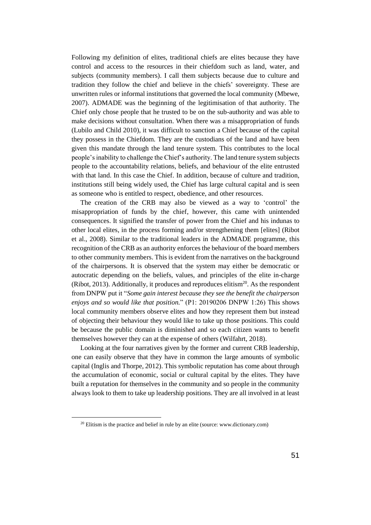Following my definition of elites, traditional chiefs are elites because they have control and access to the resources in their chiefdom such as land, water, and subjects (community members). I call them subjects because due to culture and tradition they follow the chief and believe in the chiefs' sovereignty. These are unwritten rules or informal institutions that governed the local community (Mbewe, 2007). ADMADE was the beginning of the legitimisation of that authority. The Chief only chose people that he trusted to be on the sub-authority and was able to make decisions without consultation. When there was a misappropriation of funds (Lubilo and Child 2010), it was difficult to sanction a Chief because of the capital they possess in the Chiefdom. They are the custodians of the land and have been given this mandate through the land tenure system. This contributes to the local people's inability to challenge the Chief's authority. The land tenure system subjects people to the accountability relations, beliefs, and behaviour of the elite entrusted with that land. In this case the Chief. In addition, because of culture and tradition, institutions still being widely used, the Chief has large cultural capital and is seen as someone who is entitled to respect, obedience, and other resources.

The creation of the CRB may also be viewed as a way to 'control' the misappropriation of funds by the chief, however, this came with unintended consequences. It signified the transfer of power from the Chief and his indunas to other local elites, in the process forming and/or strengthening them [elites] (Ribot et al., 2008). Similar to the traditional leaders in the ADMADE programme, this recognition of the CRB as an authority enforces the behaviour of the board members to other community members. This is evident from the narratives on the background of the chairpersons. It is observed that the system may either be democratic or autocratic depending on the beliefs, values, and principles of the elite in-charge (Ribot, 2013). Additionally, it produces and reproduces elitism $20$ . As the respondent from DNPW put it "*Some gain interest because they see the benefit the chairperson enjoys and so would like that position.*" (P1: 20190206 DNPW 1:26) This shows local community members observe elites and how they represent them but instead of objecting their behaviour they would like to take up those positions. This could be because the public domain is diminished and so each citizen wants to benefit themselves however they can at the expense of others (Wilfahrt, 2018).

Looking at the four narratives given by the former and current CRB leadership, one can easily observe that they have in common the large amounts of symbolic capital (Inglis and Thorpe, 2012). This symbolic reputation has come about through the accumulation of economic, social or cultural capital by the elites. They have built a reputation for themselves in the community and so people in the community always look to them to take up leadership positions. They are all involved in at least

 $20$  Elitism is the practice and belief in rule by an elite (source: www.dictionary.com)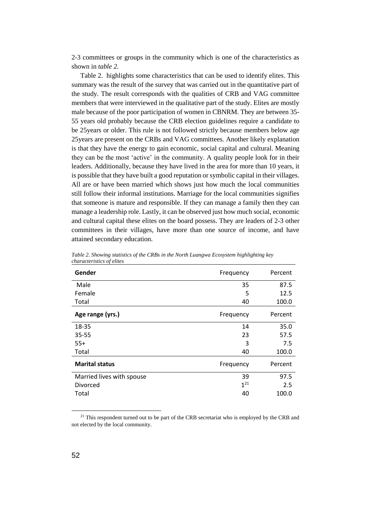2-3 committees or groups in the community which is one of the characteristics as shown in *table 2.*

Table 2. highlights some characteristics that can be used to identify elites. This summary was the result of the survey that was carried out in the quantitative part of the study. The result corresponds with the qualities of CRB and VAG committee members that were interviewed in the qualitative part of the study. Elites are mostly male because of the poor participation of women in CBNRM. They are between 35- 55 years old probably because the CRB election guidelines require a candidate to be 25years or older. This rule is not followed strictly because members below age 25years are present on the CRBs and VAG committees. Another likely explanation is that they have the energy to gain economic, social capital and cultural. Meaning they can be the most 'active' in the community. A quality people look for in their leaders. Additionally, because they have lived in the area for more than 10 years, it is possible that they have built a good reputation or symbolic capital in their villages. All are or have been married which shows just how much the local communities still follow their informal institutions. Marriage for the local communities signifies that someone is mature and responsible. If they can manage a family then they can manage a leadership role. Lastly, it can be observed just how much social, economic and cultural capital these elites on the board possess. They are leaders of 2-3 other committees in their villages, have more than one source of income, and have attained secondary education.

| Gender                    | Frequency | Percent |
|---------------------------|-----------|---------|
| Male                      | 35        | 87.5    |
| Female                    | 5         | 12.5    |
| Total                     | 40        | 100.0   |
| Age range (yrs.)          | Frequency | Percent |
| 18-35                     | 14        | 35.0    |
| 35-55                     | 23        | 57.5    |
| $55+$                     | 3         | 7.5     |
| Total                     | 40        | 100.0   |
| <b>Marital status</b>     | Frequency | Percent |
| Married lives with spouse | 39        | 97.5    |
| Divorced                  | $1^{21}$  | 2.5     |
| Total                     | 40        | 100.0   |

*Table 2. Showing statistics of the CRBs in the North Luangwa Ecosystem highlighting key characteristics of elites*

<sup>21</sup> This respondent turned out to be part of the CRB secretariat who is employed by the CRB and not elected by the local community.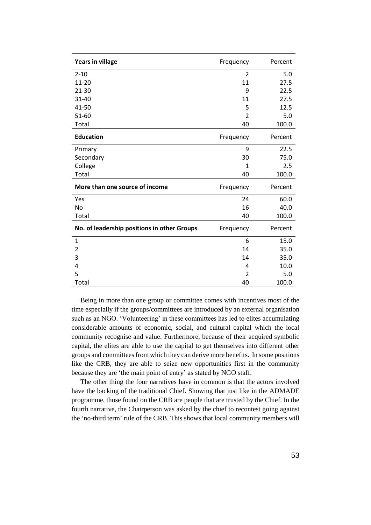| <b>Years in village</b>                     | Frequency      | Percent |
|---------------------------------------------|----------------|---------|
| $2 - 10$                                    | 2              | 5.0     |
| 11-20                                       | 11             | 27.5    |
| $21 - 30$                                   | 9              | 22.5    |
| $31 - 40$                                   | 11             | 27.5    |
| 41-50                                       | 5              | 12.5    |
| 51-60                                       | $\overline{2}$ | 5.0     |
| Total                                       | 40             | 100.0   |
| <b>Education</b>                            | Frequency      | Percent |
| Primary                                     | 9              | 22.5    |
| Secondary                                   | 30             | 75.0    |
| College                                     | 1              | 2.5     |
| Total                                       | 40             | 100.0   |
| More than one source of income              | Frequency      | Percent |
| Yes                                         | 24             | 60.0    |
| No                                          | 16             | 40.0    |
| Total                                       | 40             | 100.0   |
| No. of leadership positions in other Groups | Frequency      | Percent |
| $\mathbf 1$                                 | 6              | 15.0    |
| 2                                           | 14             | 35.0    |
| 3                                           | 14             | 35.0    |
| 4                                           | 4              | 10.0    |
| 5                                           | 2              | 5.0     |
| Total                                       | 40             | 100.0   |

Being in more than one group or committee comes with incentives most of the time especially if the groups/committees are introduced by an external organisation such as an NGO. 'Volunteering' in these committees has led to elites accumulating considerable amounts of economic, social, and cultural capital which the local community recognise and value. Furthermore, because of their acquired symbolic capital, the elites are able to use the capital to get themselves into different other groups and committees from which they can derive more benefits. In some positions like the CRB, they are able to seize new opportunities first in the community because they are 'the main point of entry' as stated by NGO staff.

The other thing the four narratives have in common is that the actors involved have the backing of the traditional Chief. Showing that just like in the ADMADE programme, those found on the CRB are people that are trusted by the Chief. In the fourth narrative, the Chairperson was asked by the chief to recontest going against the 'no-third term' rule of the CRB. This shows that local community members will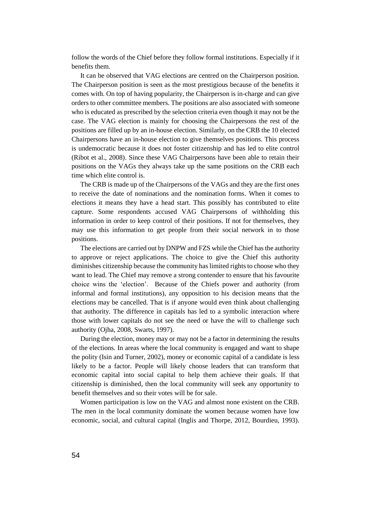follow the words of the Chief before they follow formal institutions. Especially if it benefits them.

It can be observed that VAG elections are centred on the Chairperson position. The Chairperson position is seen as the most prestigious because of the benefits it comes with. On top of having popularity, the Chairperson is in-charge and can give orders to other committee members. The positions are also associated with someone who is educated as prescribed by the selection criteria even though it may not be the case. The VAG election is mainly for choosing the Chairpersons the rest of the positions are filled up by an in-house election. Similarly, on the CRB the 10 elected Chairpersons have an in-house election to give themselves positions. This process is undemocratic because it does not foster citizenship and has led to elite control (Ribot et al., 2008). Since these VAG Chairpersons have been able to retain their positions on the VAGs they always take up the same positions on the CRB each time which elite control is.

The CRB is made up of the Chairpersons of the VAGs and they are the first ones to receive the date of nominations and the nomination forms. When it comes to elections it means they have a head start. This possibly has contributed to elite capture. Some respondents accused VAG Chairpersons of withholding this information in order to keep control of their positions. If not for themselves, they may use this information to get people from their social network in to those positions.

The elections are carried out by DNPW and FZS while the Chief has the authority to approve or reject applications. The choice to give the Chief this authority diminishes citizenship because the community has limited rights to choose who they want to lead. The Chief may remove a strong contender to ensure that his favourite choice wins the 'election'. Because of the Chiefs power and authority (from informal and formal institutions), any opposition to his decision means that the elections may be cancelled. That is if anyone would even think about challenging that authority. The difference in capitals has led to a symbolic interaction where those with lower capitals do not see the need or have the will to challenge such authority (Ojha, 2008, Swarts, 1997).

During the election, money may or may not be a factor in determining the results of the elections. In areas where the local community is engaged and want to shape the polity (Isin and Turner, 2002), money or economic capital of a candidate is less likely to be a factor. People will likely choose leaders that can transform that economic capital into social capital to help them achieve their goals. If that citizenship is diminished, then the local community will seek any opportunity to benefit themselves and so their votes will be for sale.

Women participation is low on the VAG and almost none existent on the CRB. The men in the local community dominate the women because women have low economic, social, and cultural capital (Inglis and Thorpe, 2012, Bourdieu, 1993).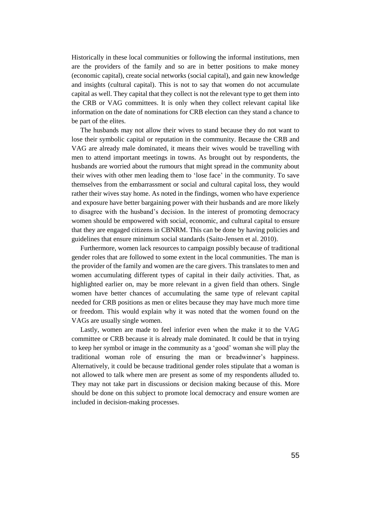Historically in these local communities or following the informal institutions, men are the providers of the family and so are in better positions to make money (economic capital), create social networks (social capital), and gain new knowledge and insights (cultural capital). This is not to say that women do not accumulate capital as well. They capital that they collect is not the relevant type to get them into the CRB or VAG committees. It is only when they collect relevant capital like information on the date of nominations for CRB election can they stand a chance to be part of the elites.

The husbands may not allow their wives to stand because they do not want to lose their symbolic capital or reputation in the community. Because the CRB and VAG are already male dominated, it means their wives would be travelling with men to attend important meetings in towns. As brought out by respondents, the husbands are worried about the rumours that might spread in the community about their wives with other men leading them to 'lose face' in the community. To save themselves from the embarrassment or social and cultural capital loss, they would rather their wives stay home. As noted in the findings, women who have experience and exposure have better bargaining power with their husbands and are more likely to disagree with the husband's decision. In the interest of promoting democracy women should be empowered with social, economic, and cultural capital to ensure that they are engaged citizens in CBNRM. This can be done by having policies and guidelines that ensure minimum social standards (Saito-Jensen et al. 2010).

Furthermore, women lack resources to campaign possibly because of traditional gender roles that are followed to some extent in the local communities. The man is the provider of the family and women are the care givers. This translates to men and women accumulating different types of capital in their daily activities. That, as highlighted earlier on, may be more relevant in a given field than others. Single women have better chances of accumulating the same type of relevant capital needed for CRB positions as men or elites because they may have much more time or freedom. This would explain why it was noted that the women found on the VAGs are usually single women.

Lastly, women are made to feel inferior even when the make it to the VAG committee or CRB because it is already male dominated. It could be that in trying to keep her symbol or image in the community as a 'good' woman she will play the traditional woman role of ensuring the man or breadwinner's happiness. Alternatively, it could be because traditional gender roles stipulate that a woman is not allowed to talk where men are present as some of my respondents alluded to. They may not take part in discussions or decision making because of this. More should be done on this subject to promote local democracy and ensure women are included in decision-making processes.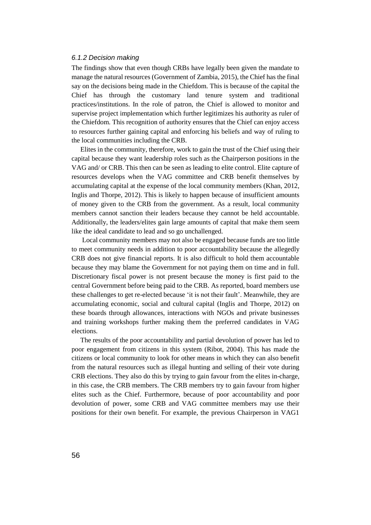## *6.1.2 Decision making*

The findings show that even though CRBs have legally been given the mandate to manage the natural resources (Government of Zambia, 2015), the Chief has the final say on the decisions being made in the Chiefdom. This is because of the capital the Chief has through the customary land tenure system and traditional practices/institutions. In the role of patron, the Chief is allowed to monitor and supervise project implementation which further legitimizes his authority as ruler of the Chiefdom. This recognition of authority ensures that the Chief can enjoy access to resources further gaining capital and enforcing his beliefs and way of ruling to the local communities including the CRB.

Elites in the community, therefore, work to gain the trust of the Chief using their capital because they want leadership roles such as the Chairperson positions in the VAG and/ or CRB. This then can be seen as leading to elite control. Elite capture of resources develops when the VAG committee and CRB benefit themselves by accumulating capital at the expense of the local community members (Khan, 2012, Inglis and Thorpe, 2012). This is likely to happen because of insufficient amounts of money given to the CRB from the government. As a result, local community members cannot sanction their leaders because they cannot be held accountable. Additionally, the leaders/elites gain large amounts of capital that make them seem like the ideal candidate to lead and so go unchallenged.

Local community members may not also be engaged because funds are too little to meet community needs in addition to poor accountability because the allegedly CRB does not give financial reports. It is also difficult to hold them accountable because they may blame the Government for not paying them on time and in full. Discretionary fiscal power is not present because the money is first paid to the central Government before being paid to the CRB. As reported, board members use these challenges to get re-elected because 'it is not their fault'. Meanwhile, they are accumulating economic, social and cultural capital (Inglis and Thorpe, 2012) on these boards through allowances, interactions with NGOs and private businesses and training workshops further making them the preferred candidates in VAG elections.

The results of the poor accountability and partial devolution of power has led to poor engagement from citizens in this system (Ribot, 2004). This has made the citizens or local community to look for other means in which they can also benefit from the natural resources such as illegal hunting and selling of their vote during CRB elections. They also do this by trying to gain favour from the elites in-charge, in this case, the CRB members. The CRB members try to gain favour from higher elites such as the Chief. Furthermore, because of poor accountability and poor devolution of power, some CRB and VAG committee members may use their positions for their own benefit. For example, the previous Chairperson in VAG1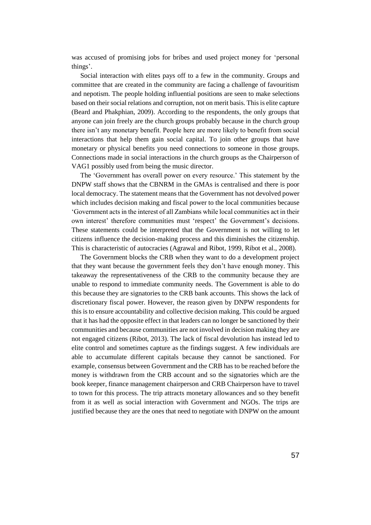was accused of promising jobs for bribes and used project money for 'personal things'.

Social interaction with elites pays off to a few in the community. Groups and committee that are created in the community are facing a challenge of favouritism and nepotism. The people holding influential positions are seen to make selections based on their social relations and corruption, not on merit basis. This is elite capture (Beard and Phakphian, 2009). According to the respondents, the only groups that anyone can join freely are the church groups probably because in the church group there isn't any monetary benefit. People here are more likely to benefit from social interactions that help them gain social capital. To join other groups that have monetary or physical benefits you need connections to someone in those groups. Connections made in social interactions in the church groups as the Chairperson of VAG1 possibly used from being the music director.

The 'Government has overall power on every resource.' This statement by the DNPW staff shows that the CBNRM in the GMAs is centralised and there is poor local democracy. The statement means that the Government has not devolved power which includes decision making and fiscal power to the local communities because 'Government acts in the interest of all Zambians while local communities act in their own interest' therefore communities must 'respect' the Government's decisions. These statements could be interpreted that the Government is not willing to let citizens influence the decision-making process and this diminishes the citizenship. This is characteristic of autocracies (Agrawal and Ribot, 1999, Ribot et al., 2008).

The Government blocks the CRB when they want to do a development project that they want because the government feels they don't have enough money. This takeaway the representativeness of the CRB to the community because they are unable to respond to immediate community needs. The Government is able to do this because they are signatories to the CRB bank accounts. This shows the lack of discretionary fiscal power. However, the reason given by DNPW respondents for this is to ensure accountability and collective decision making. This could be argued that it has had the opposite effect in that leaders can no longer be sanctioned by their communities and because communities are not involved in decision making they are not engaged citizens (Ribot, 2013). The lack of fiscal devolution has instead led to elite control and sometimes capture as the findings suggest. A few individuals are able to accumulate different capitals because they cannot be sanctioned. For example, consensus between Government and the CRB has to be reached before the money is withdrawn from the CRB account and so the signatories which are the book keeper, finance management chairperson and CRB Chairperson have to travel to town for this process. The trip attracts monetary allowances and so they benefit from it as well as social interaction with Government and NGOs. The trips are justified because they are the ones that need to negotiate with DNPW on the amount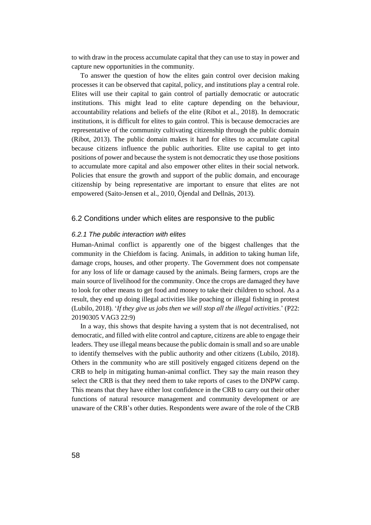to with draw in the process accumulate capital that they can use to stay in power and capture new opportunities in the community.

To answer the question of how the elites gain control over decision making processes it can be observed that capital, policy, and institutions play a central role. Elites will use their capital to gain control of partially democratic or autocratic institutions. This might lead to elite capture depending on the behaviour, accountability relations and beliefs of the elite (Ribot et al., 2018). In democratic institutions, it is difficult for elites to gain control. This is because democracies are representative of the community cultivating citizenship through the public domain (Ribot, 2013). The public domain makes it hard for elites to accumulate capital because citizens influence the public authorities. Elite use capital to get into positions of power and because the system is not democratic they use those positions to accumulate more capital and also empower other elites in their social network. Policies that ensure the growth and support of the public domain, and encourage citizenship by being representative are important to ensure that elites are not empowered (Saito-Jensen et al., 2010, Öjendal and Dellnäs, 2013).

## 6.2 Conditions under which elites are responsive to the public

#### *6.2.1 The public interaction with elites*

Human-Animal conflict is apparently one of the biggest challenges that the community in the Chiefdom is facing. Animals, in addition to taking human life, damage crops, houses, and other property. The Government does not compensate for any loss of life or damage caused by the animals. Being farmers, crops are the main source of livelihood for the community. Once the crops are damaged they have to look for other means to get food and money to take their children to school. As a result, they end up doing illegal activities like poaching or illegal fishing in protest (Lubilo, 2018). '*If they give us jobs then we will stop all the illegal activities*.' (P22: 20190305 VAG3 22:9)

In a way, this shows that despite having a system that is not decentralised, not democratic, and filled with elite control and capture, citizens are able to engage their leaders. They use illegal means because the public domain is small and so are unable to identify themselves with the public authority and other citizens (Lubilo, 2018). Others in the community who are still positively engaged citizens depend on the CRB to help in mitigating human-animal conflict. They say the main reason they select the CRB is that they need them to take reports of cases to the DNPW camp. This means that they have either lost confidence in the CRB to carry out their other functions of natural resource management and community development or are unaware of the CRB's other duties. Respondents were aware of the role of the CRB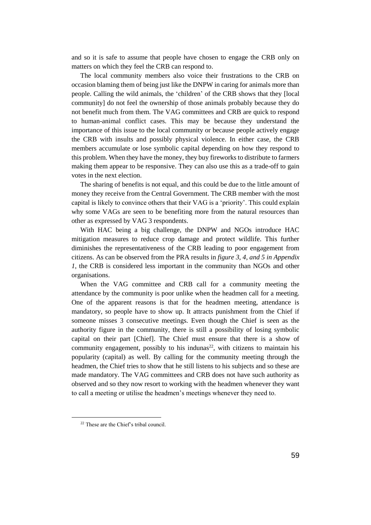and so it is safe to assume that people have chosen to engage the CRB only on matters on which they feel the CRB can respond to.

The local community members also voice their frustrations to the CRB on occasion blaming them of being just like the DNPW in caring for animals more than people. Calling the wild animals, the 'children' of the CRB shows that they [local community] do not feel the ownership of those animals probably because they do not benefit much from them. The VAG committees and CRB are quick to respond to human-animal conflict cases. This may be because they understand the importance of this issue to the local community or because people actively engage the CRB with insults and possibly physical violence. In either case, the CRB members accumulate or lose symbolic capital depending on how they respond to this problem. When they have the money, they buy fireworks to distribute to farmers making them appear to be responsive. They can also use this as a trade-off to gain votes in the next election.

The sharing of benefits is not equal, and this could be due to the little amount of money they receive from the Central Government. The CRB member with the most capital is likely to convince others that their VAG is a 'priority'. This could explain why some VAGs are seen to be benefiting more from the natural resources than other as expressed by VAG 3 respondents.

With HAC being a big challenge, the DNPW and NGOs introduce HAC mitigation measures to reduce crop damage and protect wildlife. This further diminishes the representativeness of the CRB leading to poor engagement from citizens. As can be observed from the PRA results in *figure 3, 4, and 5 in Appendix 1*, the CRB is considered less important in the community than NGOs and other organisations.

When the VAG committee and CRB call for a community meeting the attendance by the community is poor unlike when the headmen call for a meeting. One of the apparent reasons is that for the headmen meeting, attendance is mandatory, so people have to show up. It attracts punishment from the Chief if someone misses 3 consecutive meetings. Even though the Chief is seen as the authority figure in the community, there is still a possibility of losing symbolic capital on their part [Chief]. The Chief must ensure that there is a show of community engagement, possibly to his indunas $^{22}$ , with citizens to maintain his popularity (capital) as well. By calling for the community meeting through the headmen, the Chief tries to show that he still listens to his subjects and so these are made mandatory. The VAG committees and CRB does not have such authority as observed and so they now resort to working with the headmen whenever they want to call a meeting or utilise the headmen's meetings whenever they need to.

<sup>22</sup> These are the Chief's tribal council.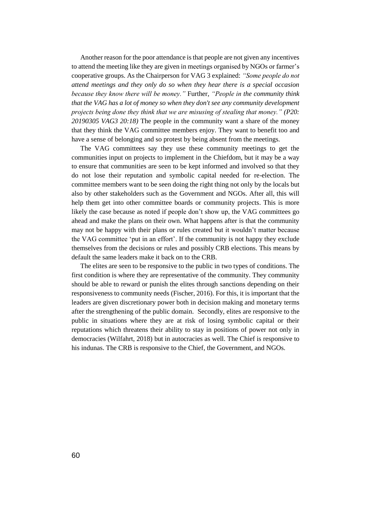Another reason for the poor attendance is that people are not given any incentives to attend the meeting like they are given in meetings organised by NGOs or farmer's cooperative groups. As the Chairperson for VAG 3 explained: *"Some people do not attend meetings and they only do so when they hear there is a special occasion because they know there will be money."* Further, *"People in the community think that the VAG has a lot of money so when they don't see any community development projects being done they think that we are misusing of stealing that money." (P20: 20190305 VAG3 20:18)* The people in the community want a share of the money that they think the VAG committee members enjoy. They want to benefit too and have a sense of belonging and so protest by being absent from the meetings.

The VAG committees say they use these community meetings to get the communities input on projects to implement in the Chiefdom, but it may be a way to ensure that communities are seen to be kept informed and involved so that they do not lose their reputation and symbolic capital needed for re-election. The committee members want to be seen doing the right thing not only by the locals but also by other stakeholders such as the Government and NGOs. After all, this will help them get into other committee boards or community projects. This is more likely the case because as noted if people don't show up, the VAG committees go ahead and make the plans on their own. What happens after is that the community may not be happy with their plans or rules created but it wouldn't matter because the VAG committee 'put in an effort'. If the community is not happy they exclude themselves from the decisions or rules and possibly CRB elections. This means by default the same leaders make it back on to the CRB.

The elites are seen to be responsive to the public in two types of conditions. The first condition is where they are representative of the community. They community should be able to reward or punish the elites through sanctions depending on their responsiveness to community needs (Fischer, 2016). For this, it is important that the leaders are given discretionary power both in decision making and monetary terms after the strengthening of the public domain. Secondly, elites are responsive to the public in situations where they are at risk of losing symbolic capital or their reputations which threatens their ability to stay in positions of power not only in democracies (Wilfahrt, 2018) but in autocracies as well. The Chief is responsive to his indunas. The CRB is responsive to the Chief, the Government, and NGOs.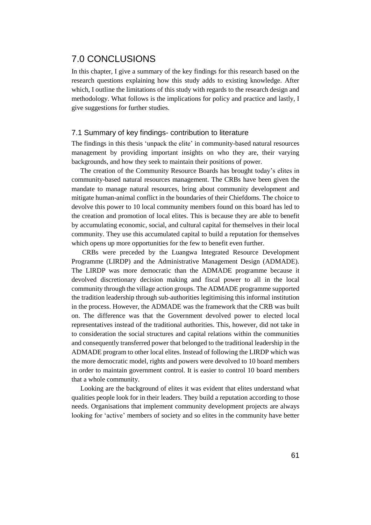# 7.0 CONCLUSIONS

In this chapter, I give a summary of the key findings for this research based on the research questions explaining how this study adds to existing knowledge. After which, I outline the limitations of this study with regards to the research design and methodology. What follows is the implications for policy and practice and lastly, I give suggestions for further studies.

# 7.1 Summary of key findings- contribution to literature

The findings in this thesis 'unpack the elite' in community-based natural resources management by providing important insights on who they are, their varying backgrounds, and how they seek to maintain their positions of power.

The creation of the Community Resource Boards has brought today's elites in community-based natural resources management. The CRBs have been given the mandate to manage natural resources, bring about community development and mitigate human-animal conflict in the boundaries of their Chiefdoms. The choice to devolve this power to 10 local community members found on this board has led to the creation and promotion of local elites. This is because they are able to benefit by accumulating economic, social, and cultural capital for themselves in their local community. They use this accumulated capital to build a reputation for themselves which opens up more opportunities for the few to benefit even further.

CRBs were preceded by the Luangwa Integrated Resource Development Programme (LIRDP) and the Administrative Management Design (ADMADE). The LIRDP was more democratic than the ADMADE programme because it devolved discretionary decision making and fiscal power to all in the local community through the village action groups. The ADMADE programme supported the tradition leadership through sub-authorities legitimising this informal institution in the process. However, the ADMADE was the framework that the CRB was built on. The difference was that the Government devolved power to elected local representatives instead of the traditional authorities. This, however, did not take in to consideration the social structures and capital relations within the communities and consequently transferred power that belonged to the traditional leadership in the ADMADE program to other local elites. Instead of following the LIRDP which was the more democratic model, rights and powers were devolved to 10 board members in order to maintain government control. It is easier to control 10 board members that a whole community.

Looking are the background of elites it was evident that elites understand what qualities people look for in their leaders. They build a reputation according to those needs. Organisations that implement community development projects are always looking for 'active' members of society and so elites in the community have better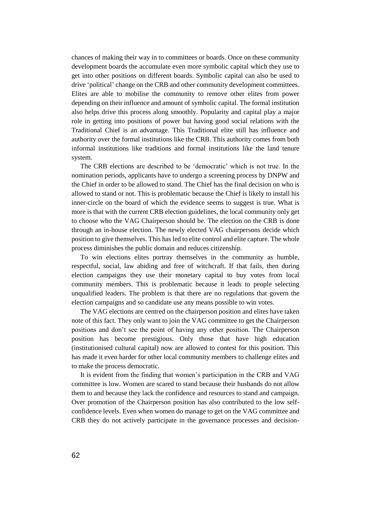chances of making their way in to committees or boards. Once on these community development boards the accumulate even more symbolic capital which they use to get into other positions on different boards. Symbolic capital can also be used to drive 'political' change on the CRB and other community development committees. Elites are able to mobilise the community to remove other elites from power depending on their influence and amount of symbolic capital. The formal institution also helps drive this process along smoothly. Popularity and capital play a major role in getting into positions of power but having good social relations with the Traditional Chief is an advantage. This Traditional elite still has influence and authority over the formal institutions like the CRB. This authority comes from both informal institutions like traditions and formal institutions like the land tenure system.

The CRB elections are described to be 'democratic' which is not true. In the nomination periods, applicants have to undergo a screening process by DNPW and the Chief in order to be allowed to stand. The Chief has the final decision on who is allowed to stand or not. This is problematic because the Chief is likely to install his inner-circle on the board of which the evidence seems to suggest is true. What is more is that with the current CRB election guidelines, the local community only get to choose who the VAG Chairperson should be. The election on the CRB is done through an in-house election. The newly elected VAG chairpersons decide which position to give themselves. This has led to elite control and elite capture. The whole process diminishes the public domain and reduces citizenship.

To win elections elites portray themselves in the community as humble, respectful, social, law abiding and free of witchcraft. If that fails, then during election campaigns they use their monetary capital to buy votes from local community members. This is problematic because it leads to people selecting unqualified leaders. The problem is that there are no regulations that govern the election campaigns and so candidate use any means possible to win votes.

The VAG elections are centred on the chairperson position and elites have taken note of this fact. They only want to join the VAG committee to get the Chairperson positions and don't see the point of having any other position. The Chairperson position has become prestigious. Only those that have high education (institutionised cultural capital) now are allowed to contest for this position. This has made it even harder for other local community members to challenge elites and to make the process democratic.

It is evident from the finding that women's participation in the CRB and VAG committee is low. Women are scared to stand because their husbands do not allow them to and because they lack the confidence and resources to stand and campaign. Over promotion of the Chairperson position has also contributed to the low selfconfidence levels. Even when women do manage to get on the VAG committee and CRB they do not actively participate in the governance processes and decision-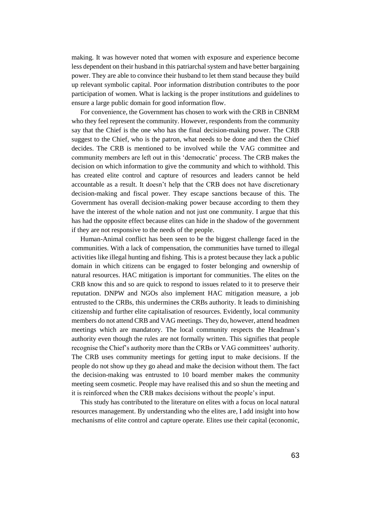making. It was however noted that women with exposure and experience become less dependent on their husband in this patriarchal system and have better bargaining power. They are able to convince their husband to let them stand because they build up relevant symbolic capital. Poor information distribution contributes to the poor participation of women. What is lacking is the proper institutions and guidelines to ensure a large public domain for good information flow.

For convenience, the Government has chosen to work with the CRB in CBNRM who they feel represent the community. However, respondents from the community say that the Chief is the one who has the final decision-making power. The CRB suggest to the Chief, who is the patron, what needs to be done and then the Chief decides. The CRB is mentioned to be involved while the VAG committee and community members are left out in this 'democratic' process. The CRB makes the decision on which information to give the community and which to withhold. This has created elite control and capture of resources and leaders cannot be held accountable as a result. It doesn't help that the CRB does not have discretionary decision-making and fiscal power. They escape sanctions because of this. The Government has overall decision-making power because according to them they have the interest of the whole nation and not just one community. I argue that this has had the opposite effect because elites can hide in the shadow of the government if they are not responsive to the needs of the people.

Human-Animal conflict has been seen to be the biggest challenge faced in the communities. With a lack of compensation, the communities have turned to illegal activities like illegal hunting and fishing. This is a protest because they lack a public domain in which citizens can be engaged to foster belonging and ownership of natural resources. HAC mitigation is important for communities. The elites on the CRB know this and so are quick to respond to issues related to it to preserve their reputation. DNPW and NGOs also implement HAC mitigation measure, a job entrusted to the CRBs, this undermines the CRBs authority. It leads to diminishing citizenship and further elite capitalisation of resources. Evidently, local community members do not attend CRB and VAG meetings. They do, however, attend headmen meetings which are mandatory. The local community respects the Headman's authority even though the rules are not formally written. This signifies that people recognise the Chief's authority more than the CRBs or VAG committees' authority. The CRB uses community meetings for getting input to make decisions. If the people do not show up they go ahead and make the decision without them. The fact the decision-making was entrusted to 10 board member makes the community meeting seem cosmetic. People may have realised this and so shun the meeting and it is reinforced when the CRB makes decisions without the people's input.

This study has contributed to the literature on elites with a focus on local natural resources management. By understanding who the elites are, I add insight into how mechanisms of elite control and capture operate. Elites use their capital (economic,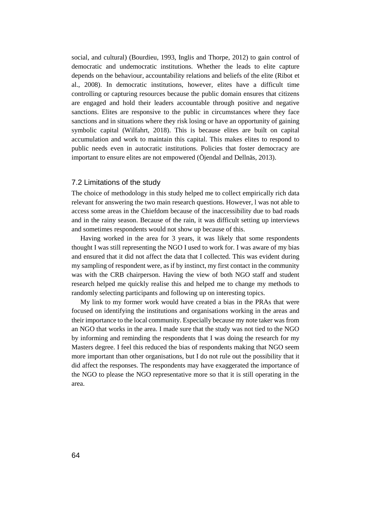social, and cultural) (Bourdieu, 1993, Inglis and Thorpe, 2012) to gain control of democratic and undemocratic institutions. Whether the leads to elite capture depends on the behaviour, accountability relations and beliefs of the elite (Ribot et al., 2008). In democratic institutions, however, elites have a difficult time controlling or capturing resources because the public domain ensures that citizens are engaged and hold their leaders accountable through positive and negative sanctions. Elites are responsive to the public in circumstances where they face sanctions and in situations where they risk losing or have an opportunity of gaining symbolic capital (Wilfahrt, 2018). This is because elites are built on capital accumulation and work to maintain this capital. This makes elites to respond to public needs even in autocratic institutions. Policies that foster democracy are important to ensure elites are not empowered (Öjendal and Dellnäs, 2013).

#### 7.2 Limitations of the study

The choice of methodology in this study helped me to collect empirically rich data relevant for answering the two main research questions. However, l was not able to access some areas in the Chiefdom because of the inaccessibility due to bad roads and in the rainy season. Because of the rain, it was difficult setting up interviews and sometimes respondents would not show up because of this.

Having worked in the area for 3 years, it was likely that some respondents thought I was still representing the NGO I used to work for. I was aware of my bias and ensured that it did not affect the data that I collected. This was evident during my sampling of respondent were, as if by instinct, my first contact in the community was with the CRB chairperson. Having the view of both NGO staff and student research helped me quickly realise this and helped me to change my methods to randomly selecting participants and following up on interesting topics.

My link to my former work would have created a bias in the PRAs that were focused on identifying the institutions and organisations working in the areas and their importance to the local community. Especially because my note taker was from an NGO that works in the area. I made sure that the study was not tied to the NGO by informing and reminding the respondents that I was doing the research for my Masters degree. I feel this reduced the bias of respondents making that NGO seem more important than other organisations, but I do not rule out the possibility that it did affect the responses. The respondents may have exaggerated the importance of the NGO to please the NGO representative more so that it is still operating in the area.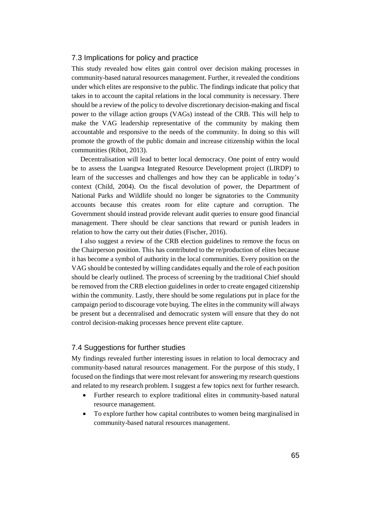### 7.3 Implications for policy and practice

This study revealed how elites gain control over decision making processes in community-based natural resources management. Further, it revealed the conditions under which elites are responsive to the public. The findings indicate that policy that takes in to account the capital relations in the local community is necessary. There should be a review of the policy to devolve discretionary decision-making and fiscal power to the village action groups (VAGs) instead of the CRB. This will help to make the VAG leadership representative of the community by making them accountable and responsive to the needs of the community. In doing so this will promote the growth of the public domain and increase citizenship within the local communities (Ribot, 2013).

Decentralisation will lead to better local democracy. One point of entry would be to assess the Luangwa Integrated Resource Development project (LIRDP) to learn of the successes and challenges and how they can be applicable in today's context (Child, 2004). On the fiscal devolution of power, the Department of National Parks and Wildlife should no longer be signatories to the Community accounts because this creates room for elite capture and corruption. The Government should instead provide relevant audit queries to ensure good financial management. There should be clear sanctions that reward or punish leaders in relation to how the carry out their duties (Fischer, 2016).

I also suggest a review of the CRB election guidelines to remove the focus on the Chairperson position. This has contributed to the re/production of elites because it has become a symbol of authority in the local communities. Every position on the VAG should be contested by willing candidates equally and the role of each position should be clearly outlined. The process of screening by the traditional Chief should be removed from the CRB election guidelines in order to create engaged citizenship within the community. Lastly, there should be some regulations put in place for the campaign period to discourage vote buying. The elites in the community will always be present but a decentralised and democratic system will ensure that they do not control decision-making processes hence prevent elite capture.

#### 7.4 Suggestions for further studies

My findings revealed further interesting issues in relation to local democracy and community-based natural resources management. For the purpose of this study, I focused on the findings that were most relevant for answering my research questions and related to my research problem. I suggest a few topics next for further research.

- Further research to explore traditional elites in community-based natural resource management.
- To explore further how capital contributes to women being marginalised in community-based natural resources management.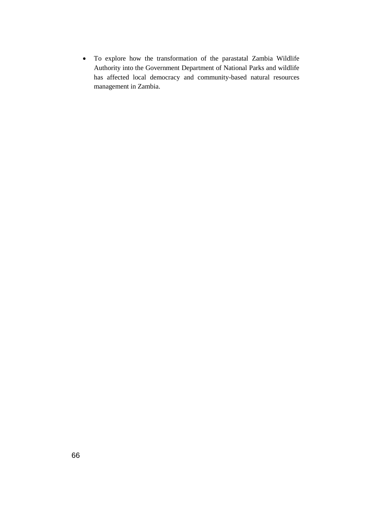• To explore how the transformation of the parastatal Zambia Wildlife Authority into the Government Department of National Parks and wildlife has affected local democracy and community-based natural resources management in Zambia.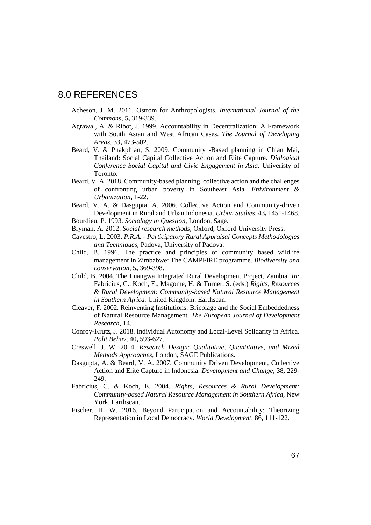## 8.0 REFERENCES

- Acheson, J. M. 2011. Ostrom for Anthropologists. *International Journal of the Commons,* 5**,** 319-339.
- Agrawal, A. & Ribot, J. 1999. Accountability in Decentralization: A Framework with South Asian and West African Cases. *The Journal of Developing Areas,* 33**,** 473-502.
- Beard, V. & Phakphian, S. 2009. Community -Based planning in Chian Mai, Thailand: Social Capital Collective Action and Elite Capture. *Dialogical Conference Social Capital and Civic Engagement in Asia.* Univeristy of Toronto.
- Beard, V. A. 2018. Community-based planning, collective action and the challenges of confronting urban poverty in Southeast Asia. *Enivironment & Urbanization***,** 1-22.
- Beard, V. A. & Dasgupta, A. 2006. Collective Action and Community-driven Development in Rural and Urban Indonesia. *Urban Studies,* 43**,** 1451-1468. Bourdieu, P. 1993. *Sociology in Question,* London, Sage.
- Bryman, A. 2012. *Social research methods,* Oxford, Oxford University Press.
- 
- Cavestro, L. 2003. *P.R.A. - Participatory Rural Appraisal Concepts Methodologies and Techniques,* Padova, University of Padova.
- Child, B. 1996. The practice and principles of community based wildlife management in Zimbabwe: The CAMPFIRE programme. *Biodiversity and conservation,* 5**,** 369-398.
- Child, B. 2004. The Luangwa Integrated Rural Development Project, Zambia. *In:* Fabricius, C., Koch, E., Magome, H. & Turner, S. (eds.) *Rights, Resources & Rural Development: Community-based Natural Resource Management in Southern Africa.* United Kingdom: Earthscan.
- Cleaver, F. 2002. Reinventing Institutions: Bricolage and the Social Embeddedness of Natural Resource Management. *The European Journal of Development Research,* 14.
- Conroy-Krutz, J. 2018. Individual Autonomy and Local-Level Solidarity in Africa. *Polit Behav,* 40**,** 593-627.
- Creswell, J. W. 2014. *Research Design: Qualitative, Quantitative, and Mixed Methods Approaches,* London, SAGE Publications.
- Dasgupta, A. & Beard, V. A. 2007. Community Driven Development, Collective Action and Elite Capture in Indonesia. *Development and Change,* 38**,** 229- 249.
- Fabricius, C. & Koch, E. 2004. *Rights, Resources & Rural Development: Community-based Natural Resource Management in Southern Africa,* New York, Earthscan.
- Fischer, H. W. 2016. Beyond Participation and Accountability: Theorizing Representation in Local Democracy. *World Development,* 86**,** 111-122.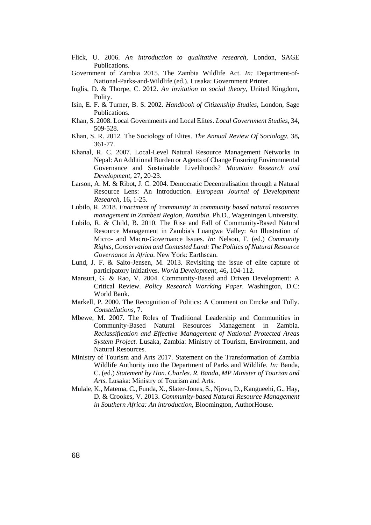- Flick, U. 2006. *An introduction to qualitative research,* London, SAGE Publications.
- Government of Zambia 2015. The Zambia Wildlife Act. *In:* Department-of-National-Parks-and-Wildlife (ed.). Lusaka: Government Printer.
- Inglis, D. & Thorpe, C. 2012. *An invitation to social theory,* United Kingdom, Polity.
- Isin, E. F. & Turner, B. S. 2002. *Handbook of Citizenship Studies,* London, Sage Publications.
- Khan, S. 2008. Local Governments and Local Elites. *Local Government Studies,* 34**,** 509-528.
- Khan, S. R. 2012. The Sociology of Elites. *The Annual Review Of Sociology,* 38**,** 361-77.
- Khanal, R. C. 2007. Local-Level Natural Resource Management Networks in Nepal: An Additional Burden or Agents of Change Ensuring Environmental Governance and Sustainable Livelihoods? *Mountain Research and Development,* 27**,** 20-23.
- Larson, A. M. & Ribot, J. C. 2004. Democratic Decentralisation through a Natural Resource Lens: An Introduction. *European Journal of Development Research,* 16**,** 1-25.
- Lubilo, R. 2018. *Enactment of 'community' in community based natural resources management in Zambezi Region, Namibia.* Ph.D., Wageningen University.
- Lubilo, R. & Child, B. 2010. The Rise and Fall of Community-Based Natural Resource Management in Zambia's Luangwa Valley: An Illustration of Micro- and Macro-Governance Issues. *In:* Nelson, F. (ed.) *Community Rights, Conservation and Contested Land: The Politics of Natural Resource Governance in Africa.* New York: Earthscan.
- Lund, J. F. & Saito-Jensen, M. 2013. Revisiting the issue of elite capture of participatory initiatives. *World Development,* 46**,** 104-112.
- Mansuri, G. & Rao, V. 2004. Community-Based and Driven Development: A Critical Review. *Policy Research Worrking Paper.* Washington, D.C: World Bank.
- Markell, P. 2000. The Recognition of Politics: A Comment on Emcke and Tully. *Constellations,* 7.
- Mbewe, M. 2007. The Roles of Traditional Leadership and Communities in Community-Based Natural Resources Management in Zambia. *Reclassification and Effective Management of National Protected Areas System Project.* Lusaka, Zambia: Ministry of Tourism, Environment, and Natural Resources.
- Ministry of Tourism and Arts 2017. Statement on the Transformation of Zambia Wildlife Authority into the Department of Parks and Wildlife. *In:* Banda, C. (ed.) *Statement by Hon. Charles. R. Banda, MP Minister of Tourism and Arts.* Lusaka: Ministry of Tourism and Arts.
- Mulale, K., Matema, C., Funda, X., Slater-Jones, S., Njovu, D., Kangueehi, G., Hay, D. & Crookes, V. 2013. *Community-based Natural Resource Management in Southern Africa: An introduction,* Bloomington, AuthorHouse.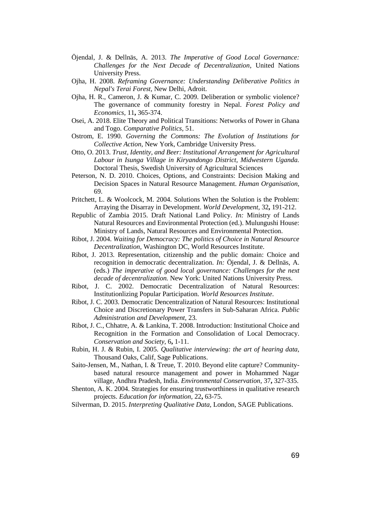- Öjendal, J. & Dellnäs, A. 2013. *The Imperative of Good Local Governance: Challenges for the Next Decade of Decentralization*, United Nations University Press.
- Ojha, H. 2008. *Reframing Governance: Understanding Deliberative Politics in Nepal's Terai Forest,* New Delhi, Adroit.
- Ojha, H. R., Cameron, J. & Kumar, C. 2009. Deliberation or symbolic violence? The governance of community forestry in Nepal. *Forest Policy and Economics,* 11**,** 365-374.
- Osei, A. 2018. Elite Theory and Political Transitions: Networks of Power in Ghana and Togo. *Comparative Politics,* 51.
- Ostrom, E. 1990. *Governing the Commons: The Evolution of Institutions for Collective Action,* New York, Cambridge University Press.
- Otto, O. 2013. *Trust, Identity, and Beer: Institutional Arrangement for Agricultural Labour in Isunga Village in Kiryandongo District, Midwestern Uganda.* Doctoral Thesis, Swedish University of Agricultural Sciences
- Peterson, N. D. 2010. Choices, Options, and Constraints: Decision Making and Decision Spaces in Natural Resource Management. *Human Organisation,* 69.
- Pritchett, L. & Woolcock, M. 2004. Solutions When the Solution is the Problem: Arraying the Disarray in Development. *World Development,* 32**,** 191-212.
- Republic of Zambia 2015. Draft National Land Policy. *In:* Ministry of Lands Natural Resources and Environmental Protection (ed.). Mulungushi House: Ministry of Lands, Natural Resources and Environmental Protection.
- Ribot, J. 2004. *Waiting for Democracy: The politics of Choice in Natural Resource Decentralization,* Washington DC, World Resources Institute.
- Ribot, J. 2013. Representation, citizenship and the public domain: Choice and recognition in democratic decentralization. *In:* Öjendal, J. & Dellnäs, A. (eds.) *The imperative of good local governance: Challenges for the next decade of decentralization.* New York: United Nations University Press.
- Ribot, J. C. 2002. Democratic Decentralization of Natural Resources: Institutionlizing Popular Participation. *World Resources Institute*.
- Ribot, J. C. 2003. Democratic Dencentralization of Natural Resources: Institutional Choice and Discretionary Power Transfers in Sub-Saharan Africa. *Public Administration and Development,* 23.
- Ribot, J. C., Chhatre, A. & Lankina, T. 2008. Introduction: Institutional Choice and Recognition in the Formation and Consolidation of Local Democracy. *Conservation and Society,* 6**,** 1-11.
- Rubin, H. J. & Rubin, I. 2005. *Qualitative interviewing: the art of hearing data,*  Thousand Oaks, Calif, Sage Publications.
- Saito-Jensen, M., Nathan, I. & Treue, T. 2010. Beyond elite capture? Communitybased natural resource management and power in Mohammed Nagar village, Andhra Pradesh, India. *Environmental Conservation,* 37**,** 327-335.
- Shenton, A. K. 2004. Strategies for ensuring trustworthiness in qualitative research projects. *Education for information,* 22**,** 63-75.
- Silverman, D. 2015. *Interpreting Qualitative Data,* London, SAGE Publications.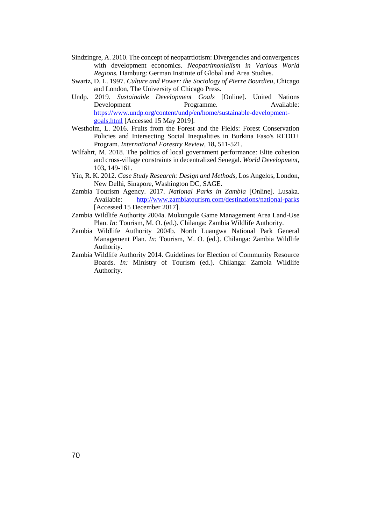- Sindzingre, A. 2010. The concept of neopatrtiotism: Divergencies and convergences with development economics. *Neopatrimonialism in Various World Regions.* Hamburg: German Institute of Global and Area Studies.
- Swartz, D. L. 1997. *Culture and Power: the Sociology of Pierre Bourdieu,* Chicago and London, The University of Chicago Press.
- Undp. 2019. *Sustainable Development Goals* [Online]. United Nations Development Programme. Available: [https://www.undp.org/content/undp/en/home/sustainable-development](https://www.undp.org/content/undp/en/home/sustainable-development-goals.html)[goals.html](https://www.undp.org/content/undp/en/home/sustainable-development-goals.html) [Accessed 15 May 2019].
- Westholm, L. 2016. Fruits from the Forest and the Fields: Forest Conservation Policies and Intersecting Social Inequalities in Burkina Faso's REDD+ Program. *International Forestry Review,* 18**,** 511-521.
- Wilfahrt, M. 2018. The politics of local government performance: Elite cohesion and cross-village constraints in decentralized Senegal. *World Development,* 103**,** 149-161.
- Yin, R. K. 2012. *Case Study Research: Design and Methods,* Los Angelos, London, New Delhi, Sinapore, Washington DC, SAGE.
- Zambia Tourism Agency. 2017. *National Parks in Zambia* [Online]. Lusaka. Available: <http://www.zambiatourism.com/destinations/national-parks> [Accessed 15 December 2017].
- Zambia Wildlife Authority 2004a. Mukungule Game Management Area Land-Use Plan. *In:* Tourism, M. O. (ed.). Chilanga: Zambia Wildlife Authority.
- Zambia Wildlife Authority 2004b. North Luangwa National Park General Management Plan. *In:* Tourism, M. O. (ed.). Chilanga: Zambia Wildlife Authority.
- Zambia Wildlife Authority 2014. Guidelines for Election of Community Resource Boards. *In:* Ministry of Tourism (ed.). Chilanga: Zambia Wildlife Authority.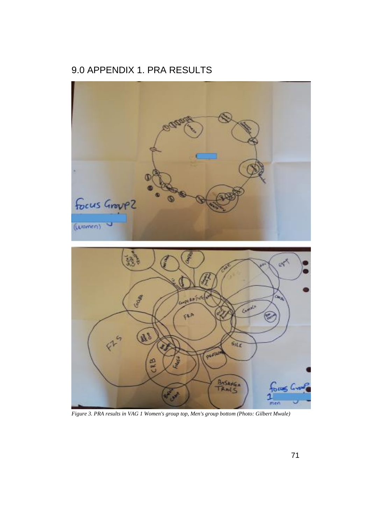# 9.0 APPENDIX 1. PRA RESULTS



*Figure 3. PRA results in VAG 1 Women's group top, Men's group bottom (Photo: Gilbert Mwale)*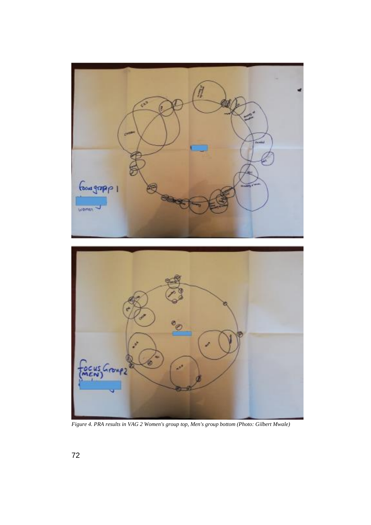



*Figure 4. PRA results in VAG 2 Women's group top, Men's group bottom (Photo: Gilbert Mwale)*